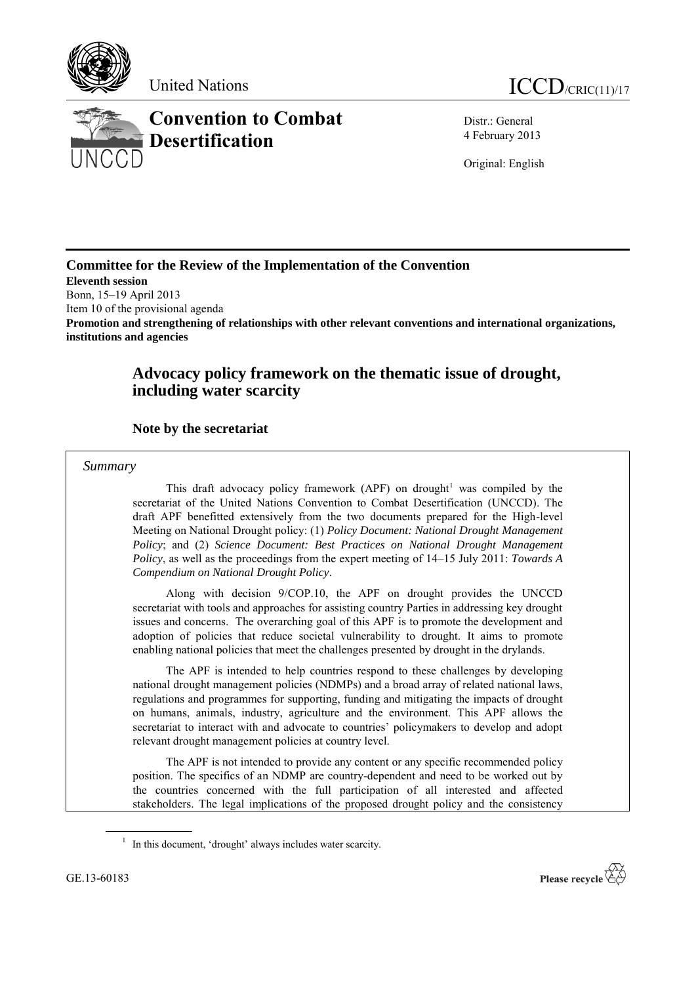



Distr.: General 4 February 2013

Original: English

# **Committee for the Review of the Implementation of the Convention**

**Eleventh session**  Bonn, 15–19 April 2013

Item 10 of the provisional agenda

**Promotion and strengthening of relationships with other relevant conventions and international organizations, institutions and agencies**

# **Advocacy policy framework on the thematic issue of drought, including water scarcity**

## **Note by the secretariat**

### *Summary*

This draft advocacy policy framework (APF) on drought<sup>1</sup> was compiled by the secretariat of the United Nations Convention to Combat Desertification (UNCCD). The draft APF benefitted extensively from the two documents prepared for the High-level Meeting on National Drought policy: (1) *Policy Document: National Drought Management Policy*; and (2) *Science Document: Best Practices on National Drought Management Policy*, as well as the proceedings from the expert meeting of 14–15 July 2011: *Towards A Compendium on National Drought Policy*.

Along with decision 9/COP.10, the APF on drought provides the UNCCD secretariat with tools and approaches for assisting country Parties in addressing key drought issues and concerns. The overarching goal of this APF is to promote the development and adoption of policies that reduce societal vulnerability to drought. It aims to promote enabling national policies that meet the challenges presented by drought in the drylands.

The APF is intended to help countries respond to these challenges by developing national drought management policies (NDMPs) and a broad array of related national laws, regulations and programmes for supporting, funding and mitigating the impacts of drought on humans, animals, industry, agriculture and the environment. This APF allows the secretariat to interact with and advocate to countries' policymakers to develop and adopt relevant drought management policies at country level.

The APF is not intended to provide any content or any specific recommended policy position. The specifics of an NDMP are country-dependent and need to be worked out by the countries concerned with the full participation of all interested and affected stakeholders. The legal implications of the proposed drought policy and the consistency



<sup>&</sup>lt;sup>1</sup> In this document, 'drought' always includes water scarcity.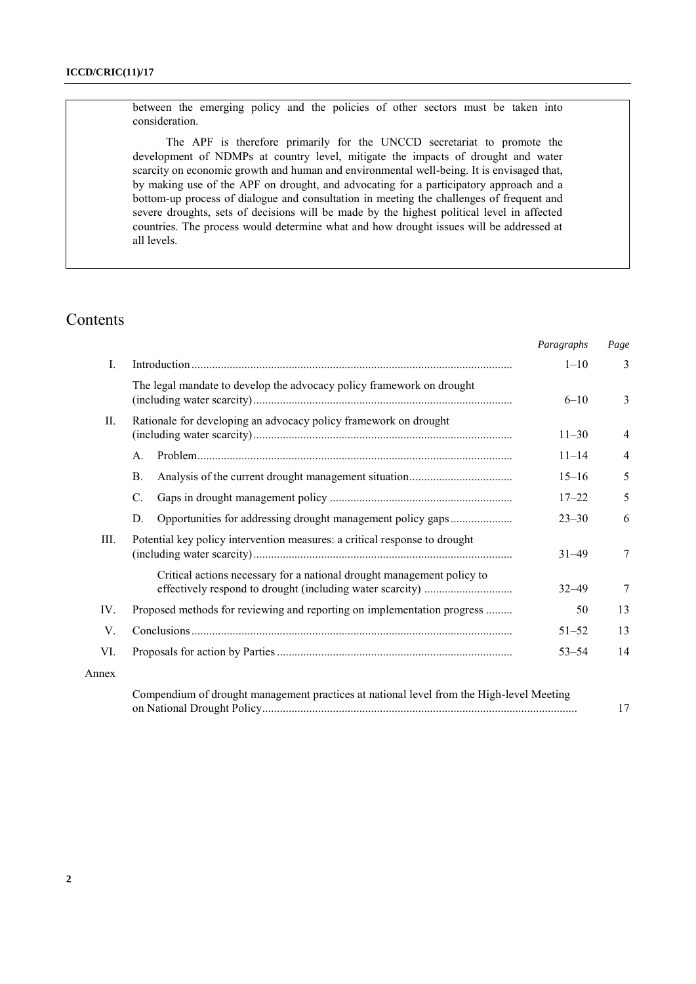between the emerging policy and the policies of other sectors must be taken into consideration.

The APF is therefore primarily for the UNCCD secretariat to promote the development of NDMPs at country level, mitigate the impacts of drought and water scarcity on economic growth and human and environmental well-being. It is envisaged that, by making use of the APF on drought, and advocating for a participatory approach and a bottom-up process of dialogue and consultation in meeting the challenges of frequent and severe droughts, sets of decisions will be made by the highest political level in affected countries. The process would determine what and how drought issues will be addressed at all levels.

# Contents

|       |                                                                                          | Paragraphs | Page                    |
|-------|------------------------------------------------------------------------------------------|------------|-------------------------|
| I.    |                                                                                          | $1 - 10$   | $\overline{\mathbf{3}}$ |
|       | The legal mandate to develop the advocacy policy framework on drought                    | $6 - 10$   | 3                       |
| П.    | Rationale for developing an advocacy policy framework on drought                         | $11 - 30$  | 4                       |
|       | $A_{\cdot}$                                                                              | $11 - 14$  | 4                       |
|       | <b>B.</b>                                                                                | $15 - 16$  | 5                       |
|       | C.                                                                                       | $17 - 22$  | 5                       |
|       | Opportunities for addressing drought management policy gaps<br>D.                        | $23 - 30$  | 6                       |
| Ш.    | Potential key policy intervention measures: a critical response to drought               | $31 - 49$  | 7                       |
|       | Critical actions necessary for a national drought management policy to                   | $32 - 49$  | 7                       |
| IV.   | Proposed methods for reviewing and reporting on implementation progress                  | 50         | 13                      |
| V.    |                                                                                          | $51 - 52$  | 13                      |
| VI.   |                                                                                          | $53 - 54$  | 14                      |
| Annex |                                                                                          |            |                         |
|       | Compendium of drought management practices at national level from the High-level Meeting |            | 17                      |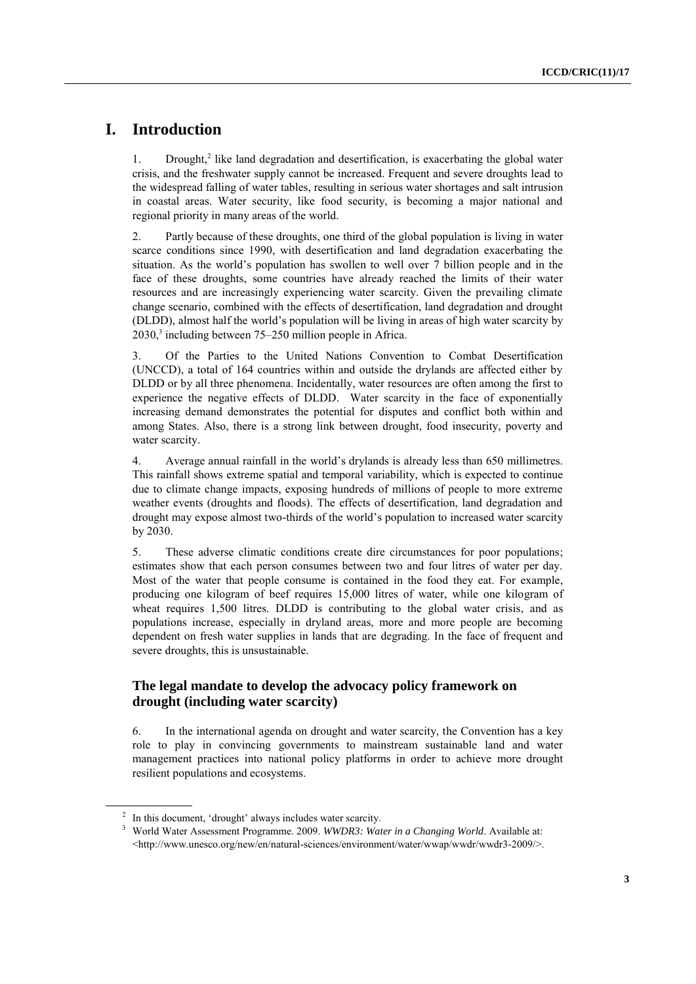## **I. Introduction**

1. Drought, 2 like land degradation and desertification, is exacerbating the global water crisis, and the freshwater supply cannot be increased. Frequent and severe droughts lead to the widespread falling of water tables, resulting in serious water shortages and salt intrusion in coastal areas. Water security, like food security, is becoming a major national and regional priority in many areas of the world.

2. Partly because of these droughts, one third of the global population is living in water scarce conditions since 1990, with desertification and land degradation exacerbating the situation. As the world's population has swollen to well over 7 billion people and in the face of these droughts, some countries have already reached the limits of their water resources and are increasingly experiencing water scarcity. Given the prevailing climate change scenario, combined with the effects of desertification, land degradation and drought (DLDD), almost half the world's population will be living in areas of high water scarcity by 2030, 3 including between 75–250 million people in Africa.

3. Of the Parties to the United Nations Convention to Combat Desertification (UNCCD), a total of 164 countries within and outside the drylands are affected either by DLDD or by all three phenomena. Incidentally, water resources are often among the first to experience the negative effects of DLDD. Water scarcity in the face of exponentially increasing demand demonstrates the potential for disputes and conflict both within and among States. Also, there is a strong link between drought, food insecurity, poverty and water scarcity.

4. Average annual rainfall in the world's drylands is already less than 650 millimetres. This rainfall shows extreme spatial and temporal variability, which is expected to continue due to climate change impacts, exposing hundreds of millions of people to more extreme weather events (droughts and floods). The effects of desertification, land degradation and drought may expose almost two-thirds of the world's population to increased water scarcity by 2030.

5. These adverse climatic conditions create dire circumstances for poor populations; estimates show that each person consumes between two and four litres of water per day. Most of the water that people consume is contained in the food they eat. For example, producing one kilogram of beef requires 15,000 litres of water, while one kilogram of wheat requires 1,500 litres. DLDD is contributing to the global water crisis, and as populations increase, especially in dryland areas, more and more people are becoming dependent on fresh water supplies in lands that are degrading. In the face of frequent and severe droughts, this is unsustainable.

## **The legal mandate to develop the advocacy policy framework on drought (including water scarcity)**

6. In the international agenda on drought and water scarcity, the Convention has a key role to play in convincing governments to mainstream sustainable land and water management practices into national policy platforms in order to achieve more drought resilient populations and ecosystems.

<sup>&</sup>lt;sup>2</sup> In this document, 'drought' always includes water scarcity.

<sup>3</sup> World Water Assessment Programme. 2009. *WWDR3: Water in a Changing World*. Available at: [<http://www.unesco.org/new/en/natural-sciences/environment/water/wwap/wwdr/wwdr3-2009/>](http://www.unesco.org/new/en/natural-sciences/environment/water/wwap/wwdr/wwdr3-2009/).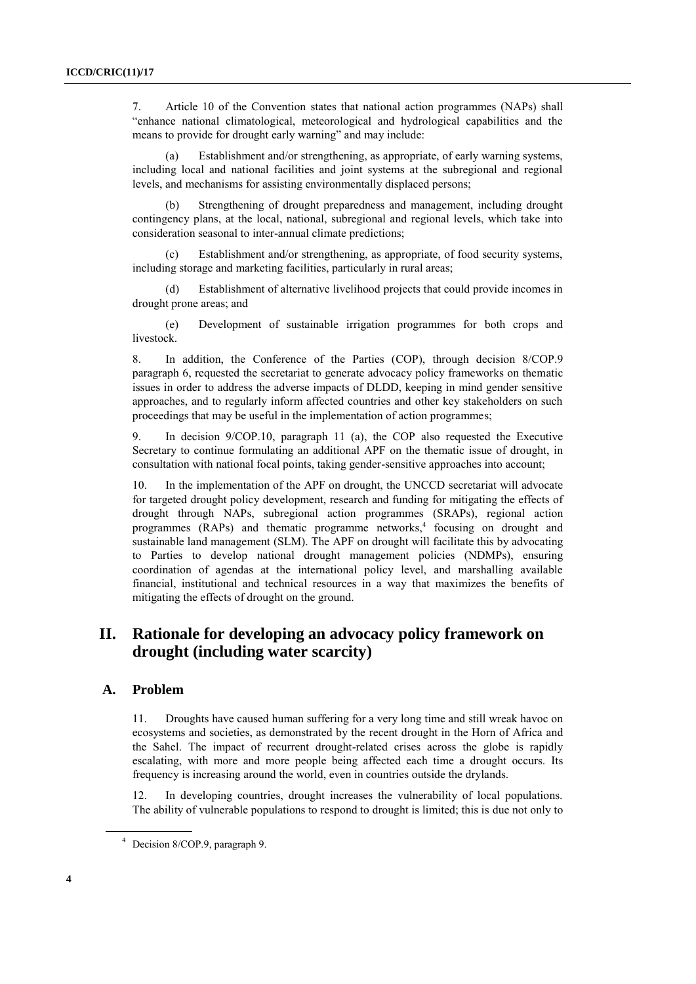7. Article 10 of the Convention states that national action programmes (NAPs) shall "enhance national climatological, meteorological and hydrological capabilities and the means to provide for drought early warning" and may include:

Establishment and/or strengthening, as appropriate, of early warning systems, including local and national facilities and joint systems at the subregional and regional levels, and mechanisms for assisting environmentally displaced persons;

Strengthening of drought preparedness and management, including drought contingency plans, at the local, national, subregional and regional levels, which take into consideration seasonal to inter-annual climate predictions;

(c) Establishment and/or strengthening, as appropriate, of food security systems, including storage and marketing facilities, particularly in rural areas;

(d) Establishment of alternative livelihood projects that could provide incomes in drought prone areas; and

(e) Development of sustainable irrigation programmes for both crops and livestock.

8. In addition, the Conference of the Parties (COP), through decision 8/COP.9 paragraph 6, requested the secretariat to generate advocacy policy frameworks on thematic issues in order to address the adverse impacts of DLDD, keeping in mind gender sensitive approaches, and to regularly inform affected countries and other key stakeholders on such proceedings that may be useful in the implementation of action programmes;

9. In decision 9/COP.10, paragraph 11 (a), the COP also requested the Executive Secretary to continue formulating an additional APF on the thematic issue of drought, in consultation with national focal points, taking gender-sensitive approaches into account;

10. In the implementation of the APF on drought, the UNCCD secretariat will advocate for targeted drought policy development, research and funding for mitigating the effects of drought through NAPs, subregional action programmes (SRAPs), regional action programmes  $(RAPs)$  and thematic programme networks,<sup>4</sup> focusing on drought and sustainable land management (SLM). The APF on drought will facilitate this by advocating to Parties to develop national drought management policies (NDMPs), ensuring coordination of agendas at the international policy level, and marshalling available financial, institutional and technical resources in a way that maximizes the benefits of mitigating the effects of drought on the ground.

## **II. Rationale for developing an advocacy policy framework on drought (including water scarcity)**

### **A. Problem**

11. Droughts have caused human suffering for a very long time and still wreak havoc on ecosystems and societies, as demonstrated by the recent drought in the Horn of Africa and the Sahel. The impact of recurrent drought-related crises across the globe is rapidly escalating, with more and more people being affected each time a drought occurs. Its frequency is increasing around the world, even in countries outside the drylands.

12. In developing countries, drought increases the vulnerability of local populations. The ability of vulnerable populations to respond to drought is limited; this is due not only to

<sup>4</sup> Decision 8/COP.9, paragraph 9.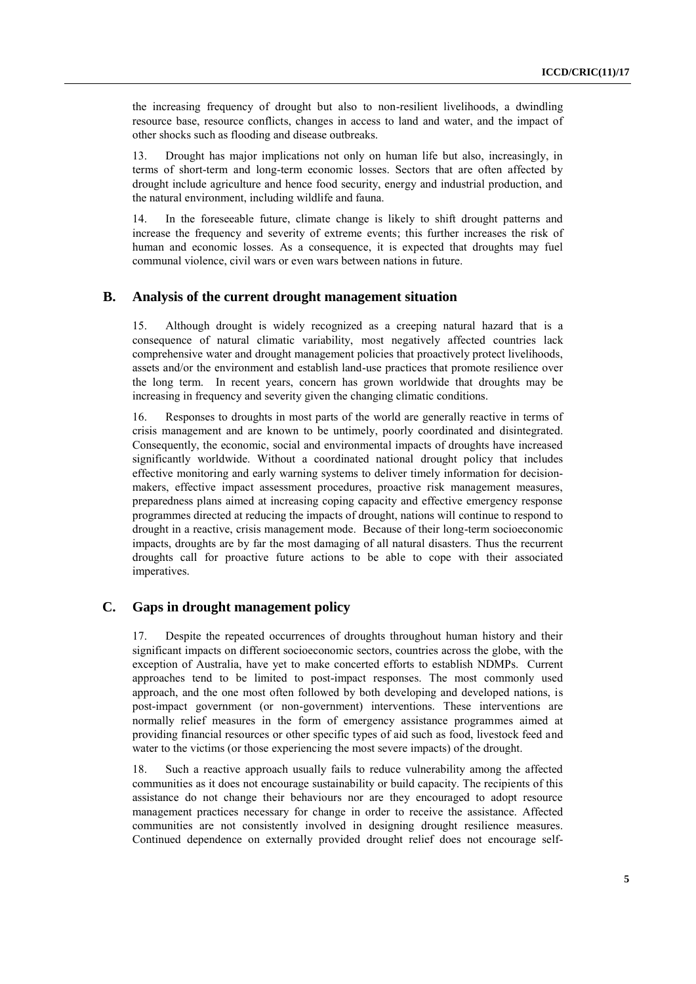the increasing frequency of drought but also to non-resilient livelihoods, a dwindling resource base, resource conflicts, changes in access to land and water, and the impact of other shocks such as flooding and disease outbreaks.

13. Drought has major implications not only on human life but also, increasingly, in terms of short-term and long-term economic losses. Sectors that are often affected by drought include agriculture and hence food security, energy and industrial production, and the natural environment, including wildlife and fauna.

14. In the foreseeable future, climate change is likely to shift drought patterns and increase the frequency and severity of extreme events; this further increases the risk of human and economic losses. As a consequence, it is expected that droughts may fuel communal violence, civil wars or even wars between nations in future.

### **B. Analysis of the current drought management situation**

15. Although drought is widely recognized as a creeping natural hazard that is a consequence of natural climatic variability, most negatively affected countries lack comprehensive water and drought management policies that proactively protect livelihoods, assets and/or the environment and establish land-use practices that promote resilience over the long term. In recent years, concern has grown worldwide that droughts may be increasing in frequency and severity given the changing climatic conditions.

16. Responses to droughts in most parts of the world are generally reactive in terms of crisis management and are known to be untimely, poorly coordinated and disintegrated. Consequently, the economic, social and environmental impacts of droughts have increased significantly worldwide. Without a coordinated national drought policy that includes effective monitoring and early warning systems to deliver timely information for decisionmakers, effective impact assessment procedures, proactive risk management measures, preparedness plans aimed at increasing coping capacity and effective emergency response programmes directed at reducing the impacts of drought, nations will continue to respond to drought in a reactive, crisis management mode. Because of their long-term socioeconomic impacts, droughts are by far the most damaging of all natural disasters. Thus the recurrent droughts call for proactive future actions to be able to cope with their associated imperatives.

## **C. Gaps in drought management policy**

17. Despite the repeated occurrences of droughts throughout human history and their significant impacts on different socioeconomic sectors, countries across the globe, with the exception of Australia, have yet to make concerted efforts to establish NDMPs. Current approaches tend to be limited to post-impact responses. The most commonly used approach, and the one most often followed by both developing and developed nations, is post-impact government (or non-government) interventions. These interventions are normally relief measures in the form of emergency assistance programmes aimed at providing financial resources or other specific types of aid such as food, livestock feed and water to the victims (or those experiencing the most severe impacts) of the drought.

18. Such a reactive approach usually fails to reduce vulnerability among the affected communities as it does not encourage sustainability or build capacity. The recipients of this assistance do not change their behaviours nor are they encouraged to adopt resource management practices necessary for change in order to receive the assistance. Affected communities are not consistently involved in designing drought resilience measures. Continued dependence on externally provided drought relief does not encourage self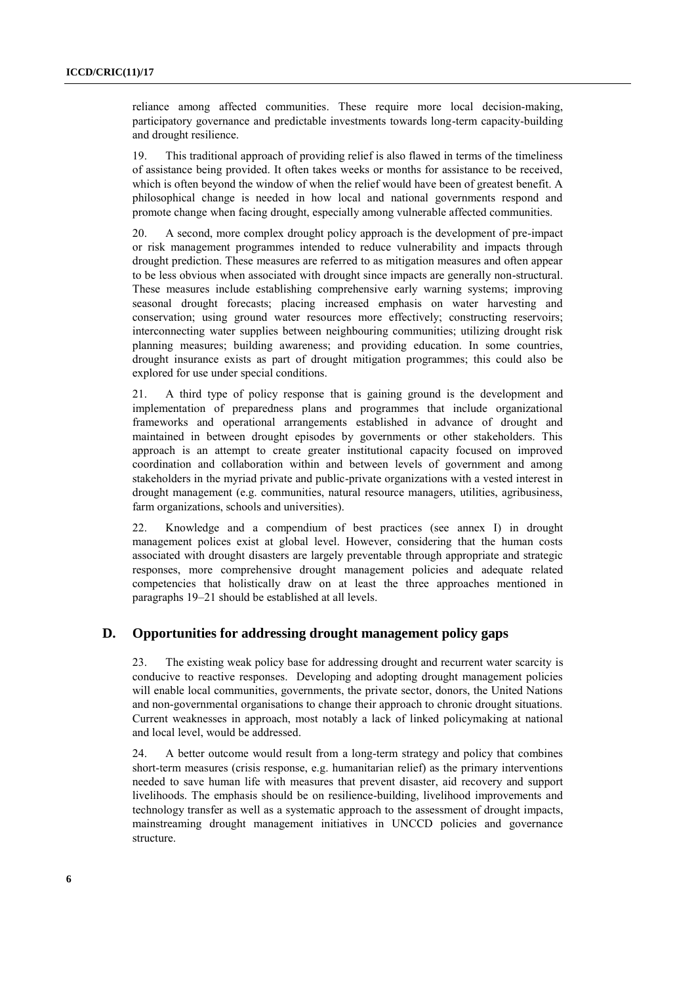reliance among affected communities. These require more local decision-making, participatory governance and predictable investments towards long-term capacity-building and drought resilience.

19. This traditional approach of providing relief is also flawed in terms of the timeliness of assistance being provided. It often takes weeks or months for assistance to be received, which is often beyond the window of when the relief would have been of greatest benefit. A philosophical change is needed in how local and national governments respond and promote change when facing drought, especially among vulnerable affected communities.

20. A second, more complex drought policy approach is the development of pre-impact or risk management programmes intended to reduce vulnerability and impacts through drought prediction. These measures are referred to as mitigation measures and often appear to be less obvious when associated with drought since impacts are generally non-structural. These measures include establishing comprehensive early warning systems; improving seasonal drought forecasts; placing increased emphasis on water harvesting and conservation; using ground water resources more effectively; constructing reservoirs; interconnecting water supplies between neighbouring communities; utilizing drought risk planning measures; building awareness; and providing education. In some countries, drought insurance exists as part of drought mitigation programmes; this could also be explored for use under special conditions.

21. A third type of policy response that is gaining ground is the development and implementation of preparedness plans and programmes that include organizational frameworks and operational arrangements established in advance of drought and maintained in between drought episodes by governments or other stakeholders. This approach is an attempt to create greater institutional capacity focused on improved coordination and collaboration within and between levels of government and among stakeholders in the myriad private and public-private organizations with a vested interest in drought management (e.g. communities, natural resource managers, utilities, agribusiness, farm organizations, schools and universities).

22. Knowledge and a compendium of best practices (see annex I) in drought management polices exist at global level. However, considering that the human costs associated with drought disasters are largely preventable through appropriate and strategic responses, more comprehensive drought management policies and adequate related competencies that holistically draw on at least the three approaches mentioned in paragraphs 19–21 should be established at all levels.

### **D. Opportunities for addressing drought management policy gaps**

23. The existing weak policy base for addressing drought and recurrent water scarcity is conducive to reactive responses. Developing and adopting drought management policies will enable local communities, governments, the private sector, donors, the United Nations and non-governmental organisations to change their approach to chronic drought situations. Current weaknesses in approach, most notably a lack of linked policymaking at national and local level, would be addressed.

24. A better outcome would result from a long-term strategy and policy that combines short-term measures (crisis response, e.g. humanitarian relief) as the primary interventions needed to save human life with measures that prevent disaster, aid recovery and support livelihoods. The emphasis should be on resilience-building, livelihood improvements and technology transfer as well as a systematic approach to the assessment of drought impacts, mainstreaming drought management initiatives in UNCCD policies and governance structure.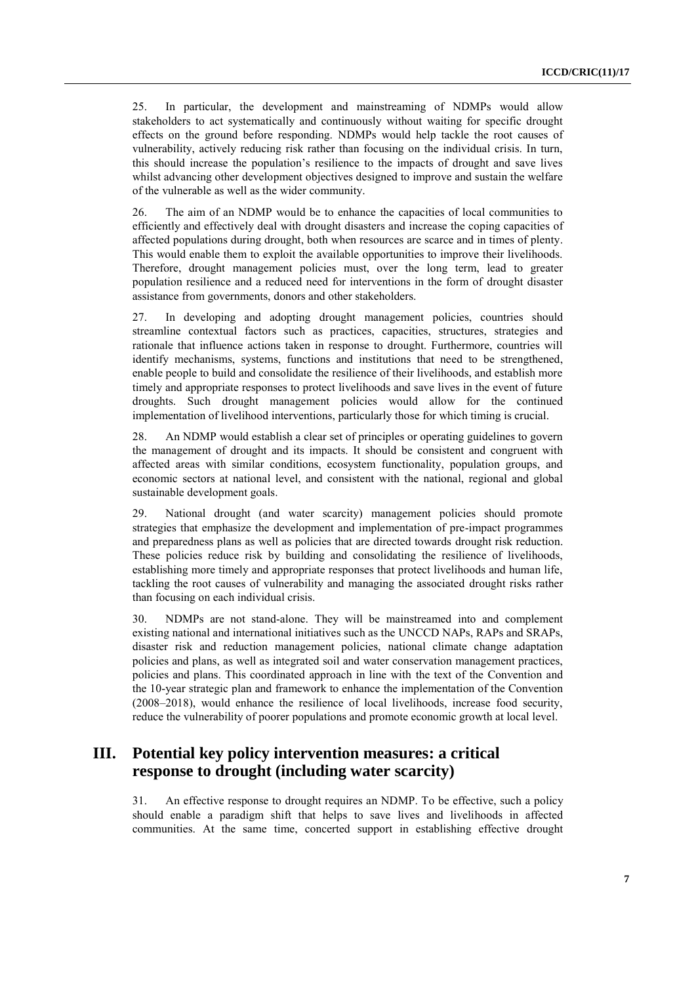25. In particular, the development and mainstreaming of NDMPs would allow stakeholders to act systematically and continuously without waiting for specific drought effects on the ground before responding. NDMPs would help tackle the root causes of vulnerability, actively reducing risk rather than focusing on the individual crisis. In turn, this should increase the population's resilience to the impacts of drought and save lives whilst advancing other development objectives designed to improve and sustain the welfare of the vulnerable as well as the wider community.

26. The aim of an NDMP would be to enhance the capacities of local communities to efficiently and effectively deal with drought disasters and increase the coping capacities of affected populations during drought, both when resources are scarce and in times of plenty. This would enable them to exploit the available opportunities to improve their livelihoods. Therefore, drought management policies must, over the long term, lead to greater population resilience and a reduced need for interventions in the form of drought disaster assistance from governments, donors and other stakeholders.

27. In developing and adopting drought management policies, countries should streamline contextual factors such as practices, capacities, structures, strategies and rationale that influence actions taken in response to drought. Furthermore, countries will identify mechanisms, systems, functions and institutions that need to be strengthened, enable people to build and consolidate the resilience of their livelihoods, and establish more timely and appropriate responses to protect livelihoods and save lives in the event of future droughts. Such drought management policies would allow for the continued implementation of livelihood interventions, particularly those for which timing is crucial.

28. An NDMP would establish a clear set of principles or operating guidelines to govern the management of drought and its impacts. It should be consistent and congruent with affected areas with similar conditions, ecosystem functionality, population groups, and economic sectors at national level, and consistent with the national, regional and global sustainable development goals.

29. National drought (and water scarcity) management policies should promote strategies that emphasize the development and implementation of pre-impact programmes and preparedness plans as well as policies that are directed towards drought risk reduction. These policies reduce risk by building and consolidating the resilience of livelihoods, establishing more timely and appropriate responses that protect livelihoods and human life, tackling the root causes of vulnerability and managing the associated drought risks rather than focusing on each individual crisis.

30. NDMPs are not stand-alone. They will be mainstreamed into and complement existing national and international initiatives such as the UNCCD NAPs, RAPs and SRAPs, disaster risk and reduction management policies, national climate change adaptation policies and plans, as well as integrated soil and water conservation management practices, policies and plans. This coordinated approach in line with the text of the Convention and the 10-year strategic plan and framework to enhance the implementation of the Convention (2008–2018), would enhance the resilience of local livelihoods, increase food security, reduce the vulnerability of poorer populations and promote economic growth at local level.

# **III. Potential key policy intervention measures: a critical response to drought (including water scarcity)**

31. An effective response to drought requires an NDMP. To be effective, such a policy should enable a paradigm shift that helps to save lives and livelihoods in affected communities. At the same time, concerted support in establishing effective drought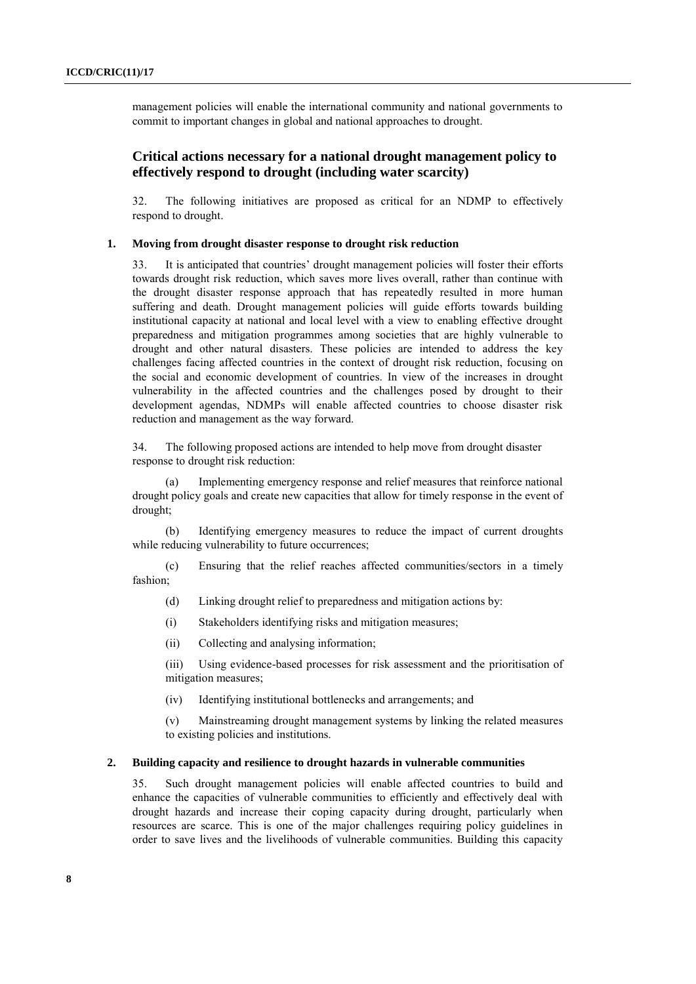management policies will enable the international community and national governments to commit to important changes in global and national approaches to drought.

### **Critical actions necessary for a national drought management policy to effectively respond to drought (including water scarcity)**

32. The following initiatives are proposed as critical for an NDMP to effectively respond to drought.

#### **1. Moving from drought disaster response to drought risk reduction**

33. It is anticipated that countries' drought management policies will foster their efforts towards drought risk reduction, which saves more lives overall, rather than continue with the drought disaster response approach that has repeatedly resulted in more human suffering and death. Drought management policies will guide efforts towards building institutional capacity at national and local level with a view to enabling effective drought preparedness and mitigation programmes among societies that are highly vulnerable to drought and other natural disasters. These policies are intended to address the key challenges facing affected countries in the context of drought risk reduction, focusing on the social and economic development of countries. In view of the increases in drought vulnerability in the affected countries and the challenges posed by drought to their development agendas, NDMPs will enable affected countries to choose disaster risk reduction and management as the way forward.

34. The following proposed actions are intended to help move from drought disaster response to drought risk reduction:

(a) Implementing emergency response and relief measures that reinforce national drought policy goals and create new capacities that allow for timely response in the event of drought;

(b) Identifying emergency measures to reduce the impact of current droughts while reducing vulnerability to future occurrences;

(c) Ensuring that the relief reaches affected communities/sectors in a timely fashion;

- (d) Linking drought relief to preparedness and mitigation actions by:
- (i) Stakeholders identifying risks and mitigation measures;
- (ii) Collecting and analysing information;

(iii) Using evidence-based processes for risk assessment and the prioritisation of mitigation measures;

(iv) Identifying institutional bottlenecks and arrangements; and

(v) Mainstreaming drought management systems by linking the related measures to existing policies and institutions.

#### **2. Building capacity and resilience to drought hazards in vulnerable communities**

35. Such drought management policies will enable affected countries to build and enhance the capacities of vulnerable communities to efficiently and effectively deal with drought hazards and increase their coping capacity during drought, particularly when resources are scarce. This is one of the major challenges requiring policy guidelines in order to save lives and the livelihoods of vulnerable communities. Building this capacity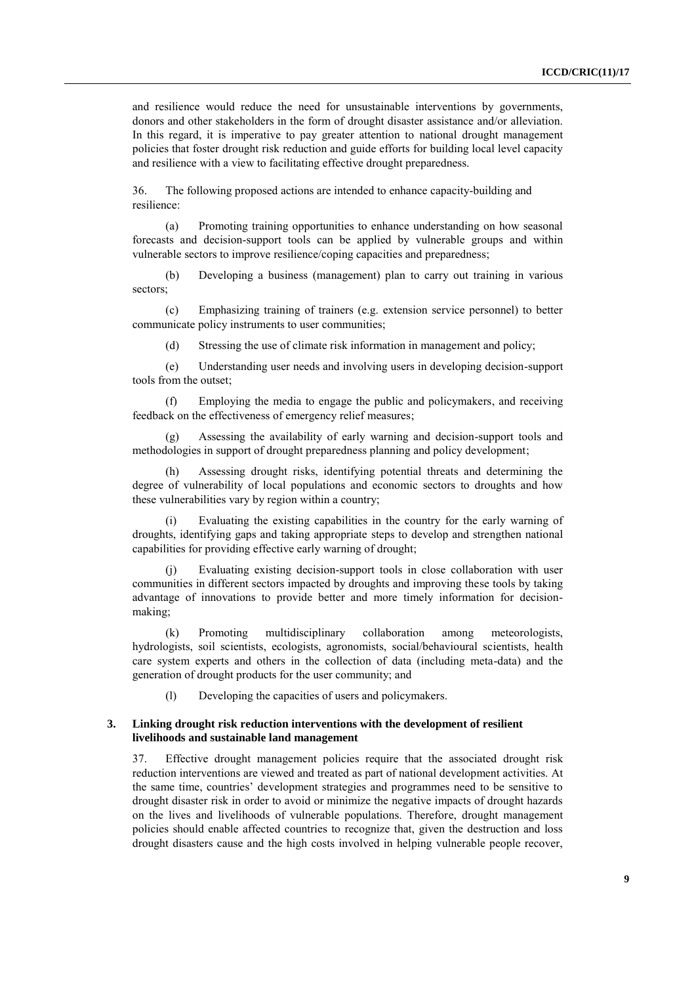and resilience would reduce the need for unsustainable interventions by governments, donors and other stakeholders in the form of drought disaster assistance and/or alleviation. In this regard, it is imperative to pay greater attention to national drought management policies that foster drought risk reduction and guide efforts for building local level capacity and resilience with a view to facilitating effective drought preparedness.

36. The following proposed actions are intended to enhance capacity-building and resilience:

(a) Promoting training opportunities to enhance understanding on how seasonal forecasts and decision-support tools can be applied by vulnerable groups and within vulnerable sectors to improve resilience/coping capacities and preparedness;

(b) Developing a business (management) plan to carry out training in various sectors;

(c) Emphasizing training of trainers (e.g. extension service personnel) to better communicate policy instruments to user communities;

(d) Stressing the use of climate risk information in management and policy;

(e) Understanding user needs and involving users in developing decision-support tools from the outset;

(f) Employing the media to engage the public and policymakers, and receiving feedback on the effectiveness of emergency relief measures;

Assessing the availability of early warning and decision-support tools and methodologies in support of drought preparedness planning and policy development;

(h) Assessing drought risks, identifying potential threats and determining the degree of vulnerability of local populations and economic sectors to droughts and how these vulnerabilities vary by region within a country;

Evaluating the existing capabilities in the country for the early warning of droughts, identifying gaps and taking appropriate steps to develop and strengthen national capabilities for providing effective early warning of drought;

Evaluating existing decision-support tools in close collaboration with user communities in different sectors impacted by droughts and improving these tools by taking advantage of innovations to provide better and more timely information for decisionmaking;

(k) Promoting multidisciplinary collaboration among meteorologists, hydrologists, soil scientists, ecologists, agronomists, social/behavioural scientists, health care system experts and others in the collection of data (including meta-data) and the generation of drought products for the user community; and

(l) Developing the capacities of users and policymakers.

#### **3. Linking drought risk reduction interventions with the development of resilient livelihoods and sustainable land management**

37. Effective drought management policies require that the associated drought risk reduction interventions are viewed and treated as part of national development activities. At the same time, countries' development strategies and programmes need to be sensitive to drought disaster risk in order to avoid or minimize the negative impacts of drought hazards on the lives and livelihoods of vulnerable populations. Therefore, drought management policies should enable affected countries to recognize that, given the destruction and loss drought disasters cause and the high costs involved in helping vulnerable people recover,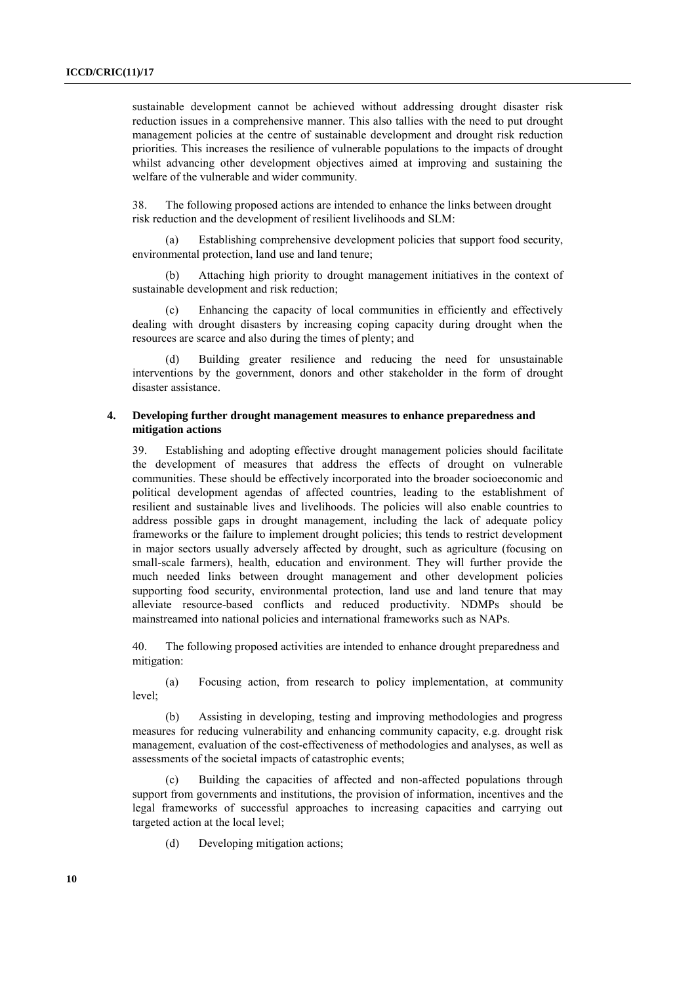sustainable development cannot be achieved without addressing drought disaster risk reduction issues in a comprehensive manner. This also tallies with the need to put drought management policies at the centre of sustainable development and drought risk reduction priorities. This increases the resilience of vulnerable populations to the impacts of drought whilst advancing other development objectives aimed at improving and sustaining the welfare of the vulnerable and wider community.

38. The following proposed actions are intended to enhance the links between drought risk reduction and the development of resilient livelihoods and SLM:

(a) Establishing comprehensive development policies that support food security, environmental protection, land use and land tenure;

(b) Attaching high priority to drought management initiatives in the context of sustainable development and risk reduction;

(c) Enhancing the capacity of local communities in efficiently and effectively dealing with drought disasters by increasing coping capacity during drought when the resources are scarce and also during the times of plenty; and

Building greater resilience and reducing the need for unsustainable interventions by the government, donors and other stakeholder in the form of drought disaster assistance.

### **4. Developing further drought management measures to enhance preparedness and mitigation actions**

39. Establishing and adopting effective drought management policies should facilitate the development of measures that address the effects of drought on vulnerable communities. These should be effectively incorporated into the broader socioeconomic and political development agendas of affected countries, leading to the establishment of resilient and sustainable lives and livelihoods. The policies will also enable countries to address possible gaps in drought management, including the lack of adequate policy frameworks or the failure to implement drought policies; this tends to restrict development in major sectors usually adversely affected by drought, such as agriculture (focusing on small-scale farmers), health, education and environment. They will further provide the much needed links between drought management and other development policies supporting food security, environmental protection, land use and land tenure that may alleviate resource-based conflicts and reduced productivity. NDMPs should be mainstreamed into national policies and international frameworks such as NAPs.

40. The following proposed activities are intended to enhance drought preparedness and mitigation:

(a) Focusing action, from research to policy implementation, at community level;

(b) Assisting in developing, testing and improving methodologies and progress measures for reducing vulnerability and enhancing community capacity, e.g. drought risk management, evaluation of the cost-effectiveness of methodologies and analyses, as well as assessments of the societal impacts of catastrophic events;

Building the capacities of affected and non-affected populations through support from governments and institutions, the provision of information, incentives and the legal frameworks of successful approaches to increasing capacities and carrying out targeted action at the local level;

(d) Developing mitigation actions;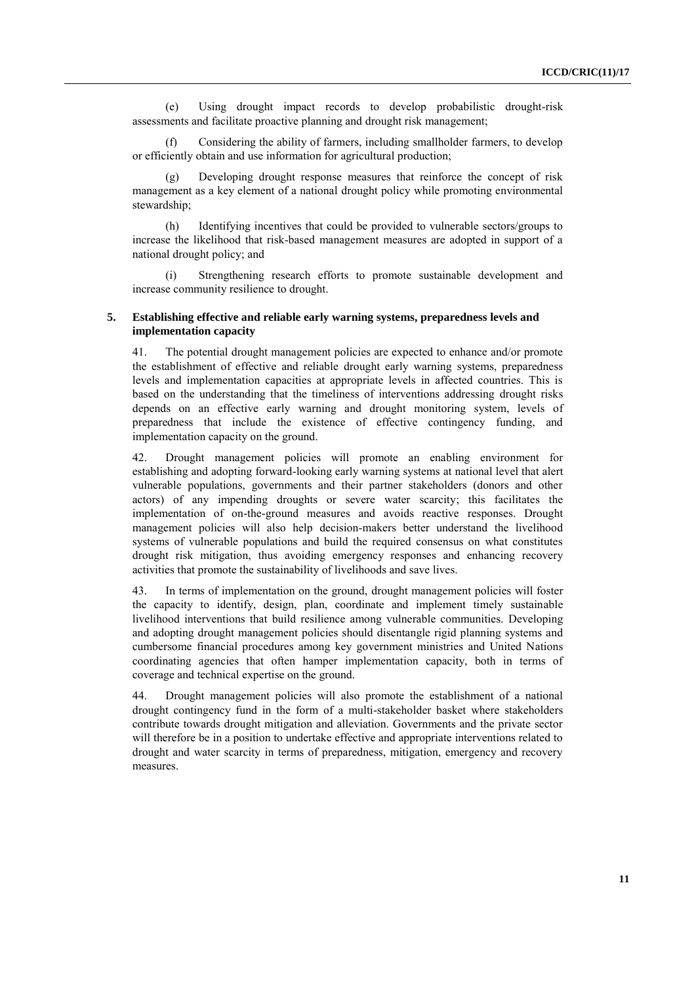(e) Using drought impact records to develop probabilistic drought-risk assessments and facilitate proactive planning and drought risk management;

(f) Considering the ability of farmers, including smallholder farmers, to develop or efficiently obtain and use information for agricultural production;

(g) Developing drought response measures that reinforce the concept of risk management as a key element of a national drought policy while promoting environmental stewardship;

(h) Identifying incentives that could be provided to vulnerable sectors/groups to increase the likelihood that risk-based management measures are adopted in support of a national drought policy; and

(i) Strengthening research efforts to promote sustainable development and increase community resilience to drought.

#### **5. Establishing effective and reliable early warning systems, preparedness levels and implementation capacity**

41. The potential drought management policies are expected to enhance and/or promote the establishment of effective and reliable drought early warning systems, preparedness levels and implementation capacities at appropriate levels in affected countries. This is based on the understanding that the timeliness of interventions addressing drought risks depends on an effective early warning and drought monitoring system, levels of preparedness that include the existence of effective contingency funding, and implementation capacity on the ground.

42. Drought management policies will promote an enabling environment for establishing and adopting forward-looking early warning systems at national level that alert vulnerable populations, governments and their partner stakeholders (donors and other actors) of any impending droughts or severe water scarcity; this facilitates the implementation of on-the-ground measures and avoids reactive responses. Drought management policies will also help decision-makers better understand the livelihood systems of vulnerable populations and build the required consensus on what constitutes drought risk mitigation, thus avoiding emergency responses and enhancing recovery activities that promote the sustainability of livelihoods and save lives.

43. In terms of implementation on the ground, drought management policies will foster the capacity to identify, design, plan, coordinate and implement timely sustainable livelihood interventions that build resilience among vulnerable communities. Developing and adopting drought management policies should disentangle rigid planning systems and cumbersome financial procedures among key government ministries and United Nations coordinating agencies that often hamper implementation capacity, both in terms of coverage and technical expertise on the ground.

44. Drought management policies will also promote the establishment of a national drought contingency fund in the form of a multi-stakeholder basket where stakeholders contribute towards drought mitigation and alleviation. Governments and the private sector will therefore be in a position to undertake effective and appropriate interventions related to drought and water scarcity in terms of preparedness, mitigation, emergency and recovery measures.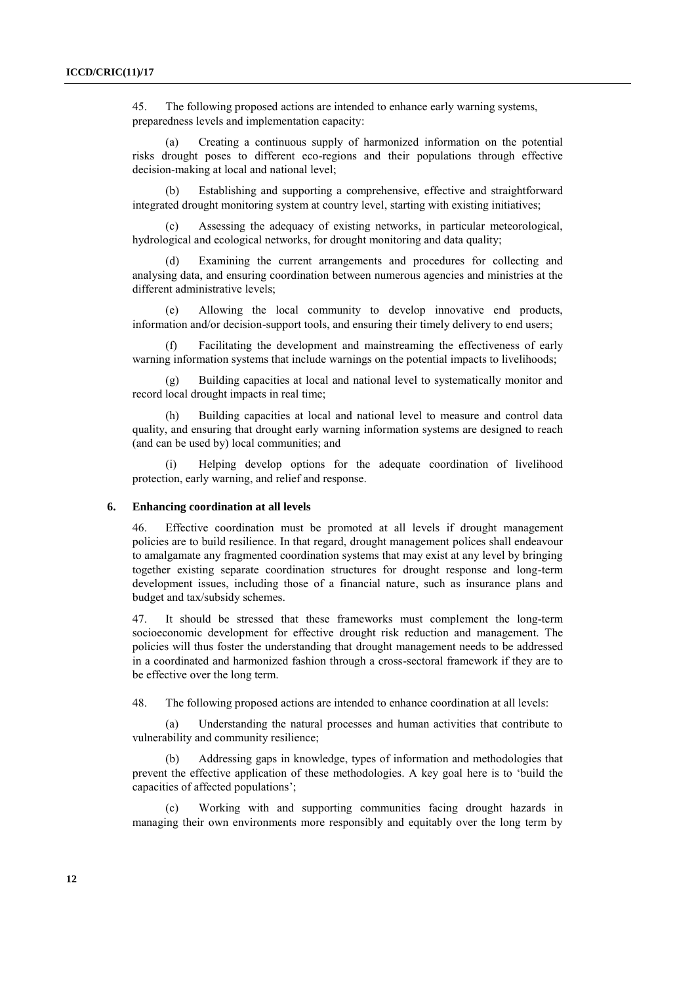45. The following proposed actions are intended to enhance early warning systems, preparedness levels and implementation capacity:

(a) Creating a continuous supply of harmonized information on the potential risks drought poses to different eco-regions and their populations through effective decision-making at local and national level;

(b) Establishing and supporting a comprehensive, effective and straightforward integrated drought monitoring system at country level, starting with existing initiatives;

Assessing the adequacy of existing networks, in particular meteorological, hydrological and ecological networks, for drought monitoring and data quality;

Examining the current arrangements and procedures for collecting and analysing data, and ensuring coordination between numerous agencies and ministries at the different administrative levels;

(e) Allowing the local community to develop innovative end products, information and/or decision-support tools, and ensuring their timely delivery to end users;

(f) Facilitating the development and mainstreaming the effectiveness of early warning information systems that include warnings on the potential impacts to livelihoods;

(g) Building capacities at local and national level to systematically monitor and record local drought impacts in real time;

(h) Building capacities at local and national level to measure and control data quality, and ensuring that drought early warning information systems are designed to reach (and can be used by) local communities; and

(i) Helping develop options for the adequate coordination of livelihood protection, early warning, and relief and response.

#### **6. Enhancing coordination at all levels**

46. Effective coordination must be promoted at all levels if drought management policies are to build resilience. In that regard, drought management polices shall endeavour to amalgamate any fragmented coordination systems that may exist at any level by bringing together existing separate coordination structures for drought response and long-term development issues, including those of a financial nature, such as insurance plans and budget and tax/subsidy schemes.

47. It should be stressed that these frameworks must complement the long-term socioeconomic development for effective drought risk reduction and management. The policies will thus foster the understanding that drought management needs to be addressed in a coordinated and harmonized fashion through a cross-sectoral framework if they are to be effective over the long term.

48. The following proposed actions are intended to enhance coordination at all levels:

(a) Understanding the natural processes and human activities that contribute to vulnerability and community resilience;

(b) Addressing gaps in knowledge, types of information and methodologies that prevent the effective application of these methodologies. A key goal here is to 'build the capacities of affected populations';

Working with and supporting communities facing drought hazards in managing their own environments more responsibly and equitably over the long term by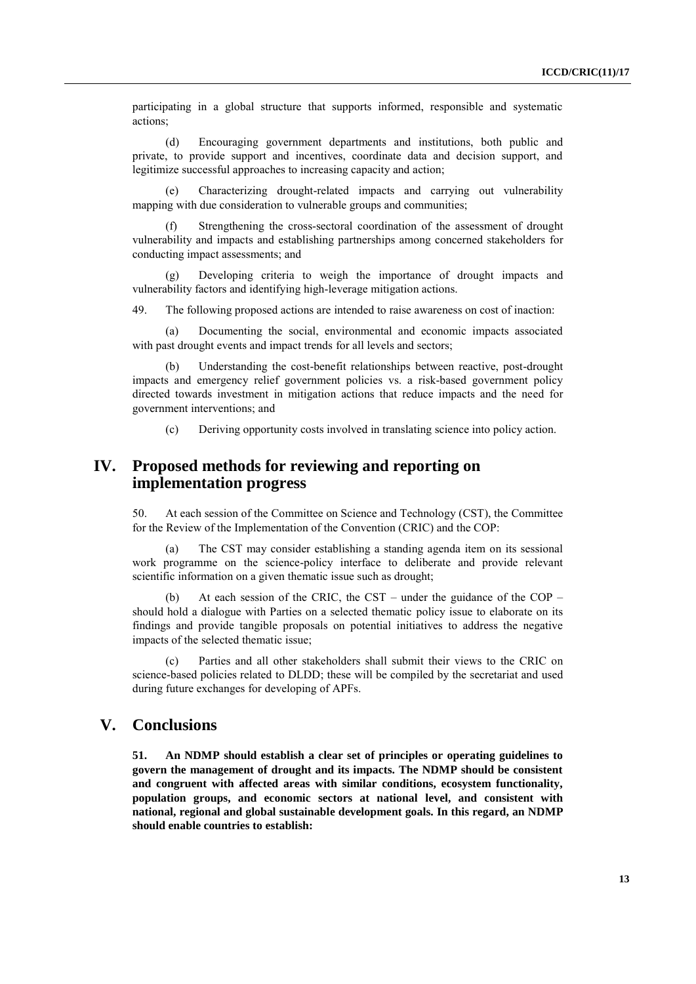participating in a global structure that supports informed, responsible and systematic actions;

(d) Encouraging government departments and institutions, both public and private, to provide support and incentives, coordinate data and decision support, and legitimize successful approaches to increasing capacity and action;

(e) Characterizing drought-related impacts and carrying out vulnerability mapping with due consideration to vulnerable groups and communities;

Strengthening the cross-sectoral coordination of the assessment of drought vulnerability and impacts and establishing partnerships among concerned stakeholders for conducting impact assessments; and

(g) Developing criteria to weigh the importance of drought impacts and vulnerability factors and identifying high-leverage mitigation actions.

49. The following proposed actions are intended to raise awareness on cost of inaction:

(a) Documenting the social, environmental and economic impacts associated with past drought events and impact trends for all levels and sectors:

(b) Understanding the cost-benefit relationships between reactive, post-drought impacts and emergency relief government policies vs. a risk-based government policy directed towards investment in mitigation actions that reduce impacts and the need for government interventions; and

(c) Deriving opportunity costs involved in translating science into policy action.

## **IV. Proposed methods for reviewing and reporting on implementation progress**

50. At each session of the Committee on Science and Technology (CST), the Committee for the Review of the Implementation of the Convention (CRIC) and the COP:

The CST may consider establishing a standing agenda item on its sessional work programme on the science-policy interface to deliberate and provide relevant scientific information on a given thematic issue such as drought;

(b) At each session of the CRIC, the CST – under the guidance of the COP – should hold a dialogue with Parties on a selected thematic policy issue to elaborate on its findings and provide tangible proposals on potential initiatives to address the negative impacts of the selected thematic issue;

(c) Parties and all other stakeholders shall submit their views to the CRIC on science-based policies related to DLDD; these will be compiled by the secretariat and used during future exchanges for developing of APFs.

## **V. Conclusions**

**51. An NDMP should establish a clear set of principles or operating guidelines to govern the management of drought and its impacts. The NDMP should be consistent and congruent with affected areas with similar conditions, ecosystem functionality, population groups, and economic sectors at national level, and consistent with national, regional and global sustainable development goals. In this regard, an NDMP should enable countries to establish:**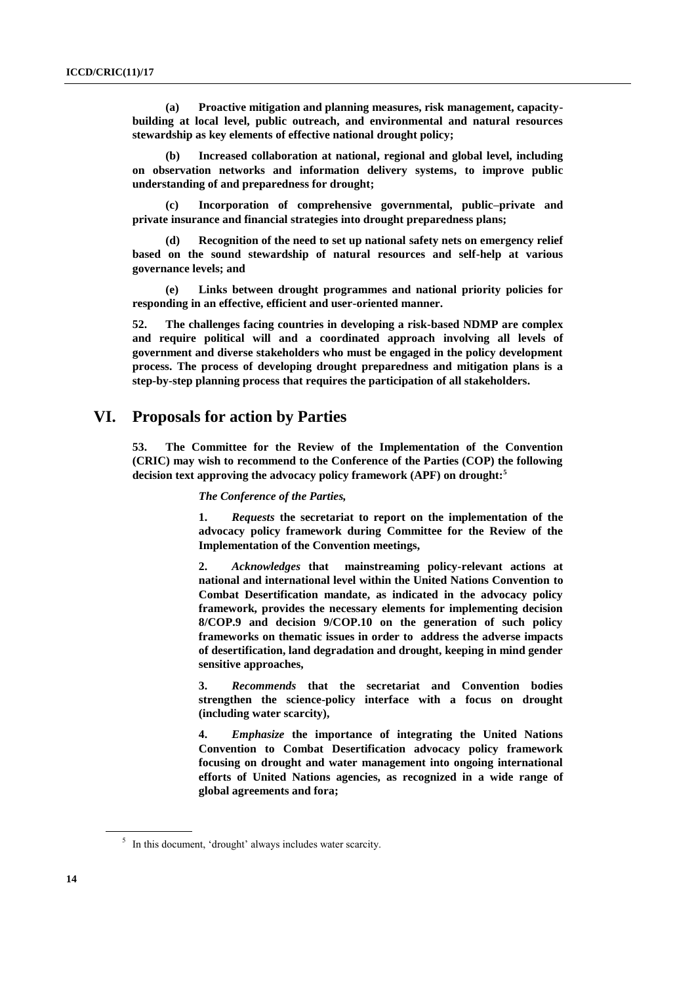**(a) Proactive mitigation and planning measures, risk management, capacitybuilding at local level, public outreach, and environmental and natural resources stewardship as key elements of effective national drought policy;** 

**(b) Increased collaboration at national, regional and global level, including on observation networks and information delivery systems, to improve public understanding of and preparedness for drought;**

**(c) Incorporation of comprehensive governmental, public–private and private insurance and financial strategies into drought preparedness plans;** 

**(d) Recognition of the need to set up national safety nets on emergency relief based on the sound stewardship of natural resources and self-help at various governance levels; and**

**(e) Links between drought programmes and national priority policies for responding in an effective, efficient and user-oriented manner.**

**52. The challenges facing countries in developing a risk-based NDMP are complex and require political will and a coordinated approach involving all levels of government and diverse stakeholders who must be engaged in the policy development process. The process of developing drought preparedness and mitigation plans is a step-by-step planning process that requires the participation of all stakeholders.** 

## **VI. Proposals for action by Parties**

**53. The Committee for the Review of the Implementation of the Convention (CRIC) may wish to recommend to the Conference of the Parties (COP) the following decision text approving the advocacy policy framework (APF) on drought:<sup>5</sup>**

#### *The Conference of the Parties,*

**1.** *Requests* **the secretariat to report on the implementation of the advocacy policy framework during Committee for the Review of the Implementation of the Convention meetings,** 

**2.** *Acknowledges* **that mainstreaming policy-relevant actions at national and international level within the United Nations Convention to Combat Desertification mandate, as indicated in the advocacy policy framework, provides the necessary elements for implementing decision 8/COP.9 and decision 9/COP.10 on the generation of such policy frameworks on thematic issues in order to address the adverse impacts of desertification, land degradation and drought, keeping in mind gender sensitive approaches,** 

**3.** *Recommends* **that the secretariat and Convention bodies strengthen the science-policy interface with a focus on drought (including water scarcity),**

**4.** *Emphasize* **the importance of integrating the United Nations Convention to Combat Desertification advocacy policy framework focusing on drought and water management into ongoing international efforts of United Nations agencies, as recognized in a wide range of global agreements and fora;** 

<sup>&</sup>lt;sup>5</sup> In this document, 'drought' always includes water scarcity.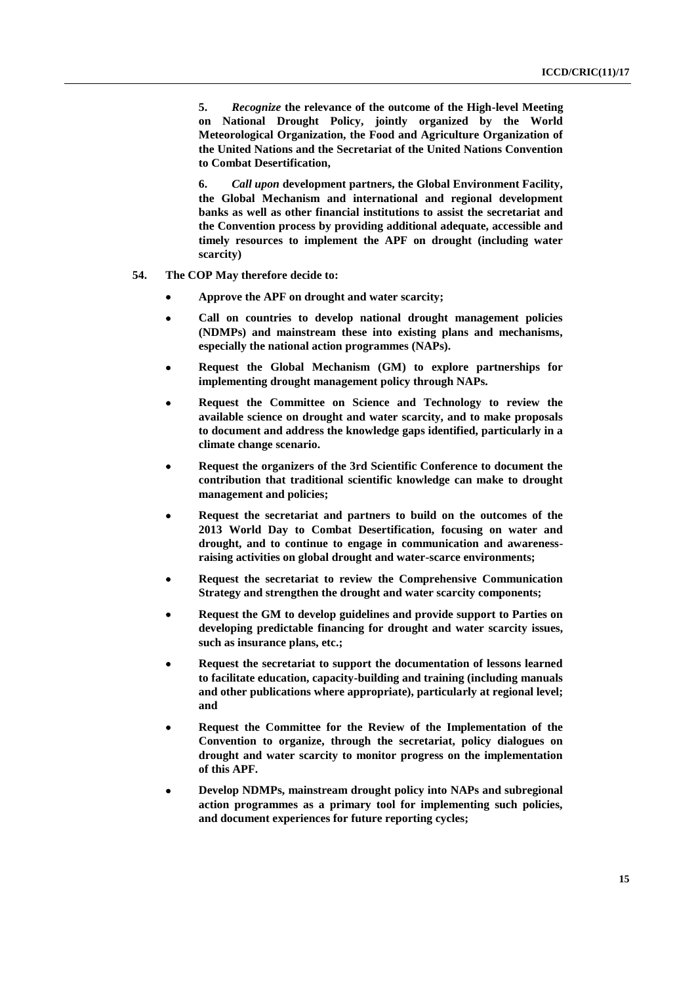**5.** *Recognize* **the relevance of the outcome of the High-level Meeting on National Drought Policy, jointly organized by the World Meteorological Organization, the Food and Agriculture Organization of the United Nations and the Secretariat of the United Nations Convention to Combat Desertification,**

**6.** *Call upon* **development partners, the Global Environment Facility, the Global Mechanism and international and regional development banks as well as other financial institutions to assist the secretariat and the Convention process by providing additional adequate, accessible and timely resources to implement the APF on drought (including water scarcity)** 

- **54. The COP May therefore decide to:**
	- **Approve the APF on drought and water scarcity;**
	- **Call on countries to develop national drought management policies (NDMPs) and mainstream these into existing plans and mechanisms, especially the national action programmes (NAPs).**
	- **Request the Global Mechanism (GM) to explore partnerships for implementing drought management policy through NAPs.**
	- **Request the Committee on Science and Technology to review the available science on drought and water scarcity, and to make proposals to document and address the knowledge gaps identified, particularly in a climate change scenario.**
	- **Request the organizers of the 3rd Scientific Conference to document the contribution that traditional scientific knowledge can make to drought management and policies;**
	- **Request the secretariat and partners to build on the outcomes of the 2013 World Day to Combat Desertification, focusing on water and drought, and to continue to engage in communication and awarenessraising activities on global drought and water-scarce environments;**
	- **Request the secretariat to review the Comprehensive Communication Strategy and strengthen the drought and water scarcity components;**
	- **Request the GM to develop guidelines and provide support to Parties on developing predictable financing for drought and water scarcity issues, such as insurance plans, etc.;**
	- **Request the secretariat to support the documentation of lessons learned to facilitate education, capacity-building and training (including manuals and other publications where appropriate), particularly at regional level; and**
	- **Request the Committee for the Review of the Implementation of the Convention to organize, through the secretariat, policy dialogues on drought and water scarcity to monitor progress on the implementation of this APF.**
	- **Develop NDMPs, mainstream drought policy into NAPs and subregional action programmes as a primary tool for implementing such policies, and document experiences for future reporting cycles;**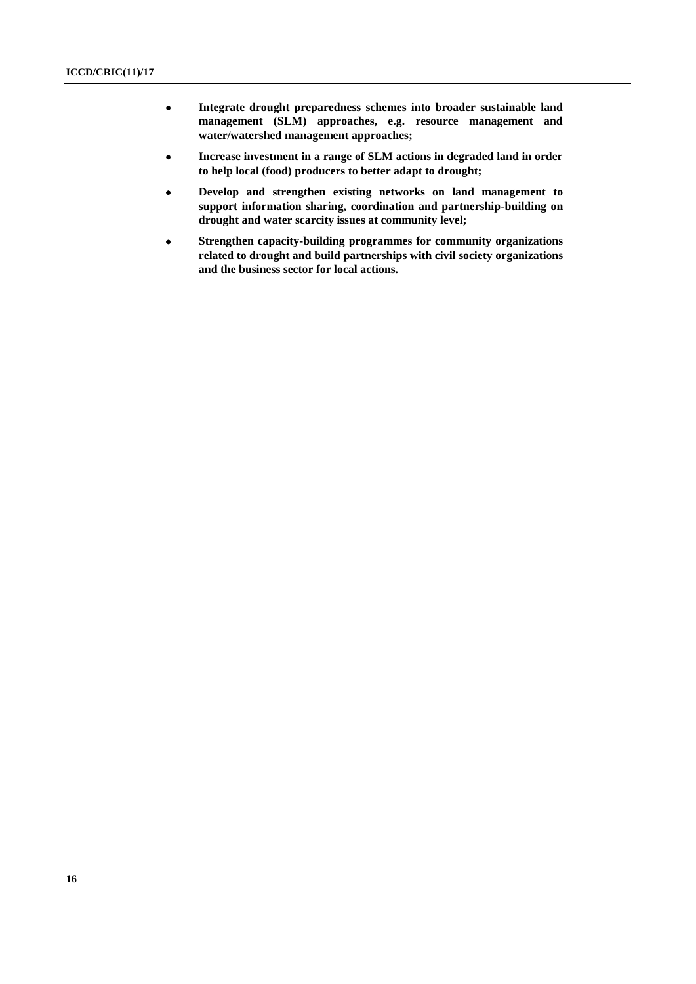- **Integrate drought preparedness schemes into broader sustainable land management (SLM) approaches, e.g. resource management and water/watershed management approaches;**
- **Increase investment in a range of SLM actions in degraded land in order to help local (food) producers to better adapt to drought;**
- **Develop and strengthen existing networks on land management to support information sharing, coordination and partnership-building on drought and water scarcity issues at community level;**
- **Strengthen capacity-building programmes for community organizations related to drought and build partnerships with civil society organizations and the business sector for local actions.**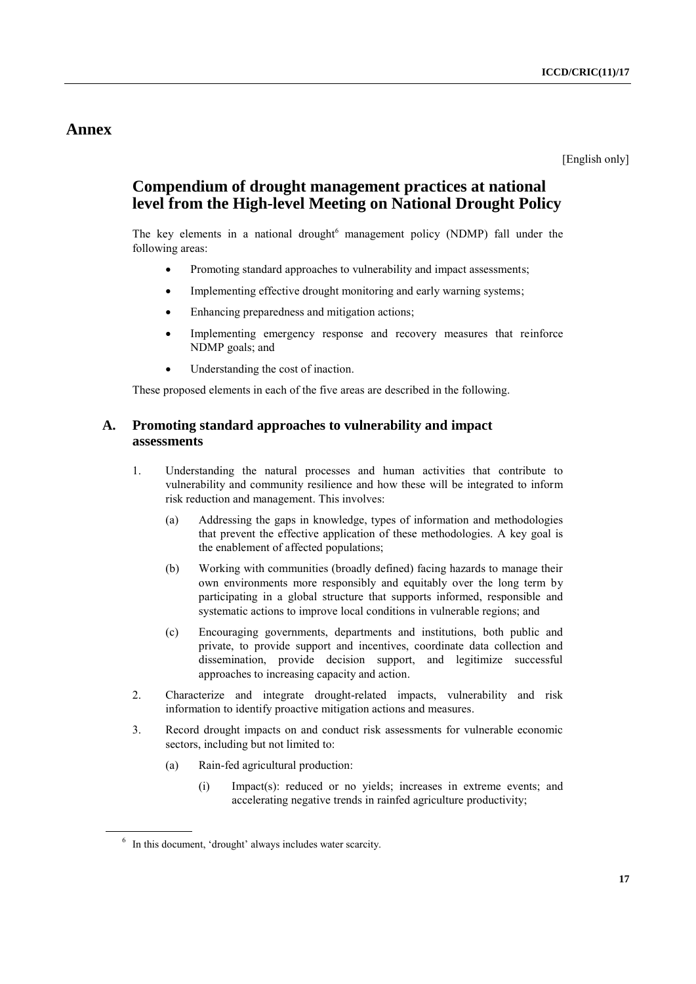## **Annex**

[English only]

# **Compendium of drought management practices at national level from the High-level Meeting on National Drought Policy**

The key elements in a national drought<sup>6</sup> management policy (NDMP) fall under the following areas:

- Promoting standard approaches to vulnerability and impact assessments;
- Implementing effective drought monitoring and early warning systems;
- Enhancing preparedness and mitigation actions;
- Implementing emergency response and recovery measures that reinforce NDMP goals; and
- Understanding the cost of inaction.

These proposed elements in each of the five areas are described in the following.

## **A. Promoting standard approaches to vulnerability and impact assessments**

- 1. Understanding the natural processes and human activities that contribute to vulnerability and community resilience and how these will be integrated to inform risk reduction and management. This involves:
	- (a) Addressing the gaps in knowledge, types of information and methodologies that prevent the effective application of these methodologies. A key goal is the enablement of affected populations;
	- (b) Working with communities (broadly defined) facing hazards to manage their own environments more responsibly and equitably over the long term by participating in a global structure that supports informed, responsible and systematic actions to improve local conditions in vulnerable regions; and
	- (c) Encouraging governments, departments and institutions, both public and private, to provide support and incentives, coordinate data collection and dissemination, provide decision support, and legitimize successful approaches to increasing capacity and action.
- 2. Characterize and integrate drought-related impacts, vulnerability and risk information to identify proactive mitigation actions and measures.
- 3. Record drought impacts on and conduct risk assessments for vulnerable economic sectors, including but not limited to:
	- (a) Rain-fed agricultural production:
		- (i) Impact(s): reduced or no yields; increases in extreme events; and accelerating negative trends in rainfed agriculture productivity;

<sup>&</sup>lt;sup>6</sup> In this document, 'drought' always includes water scarcity.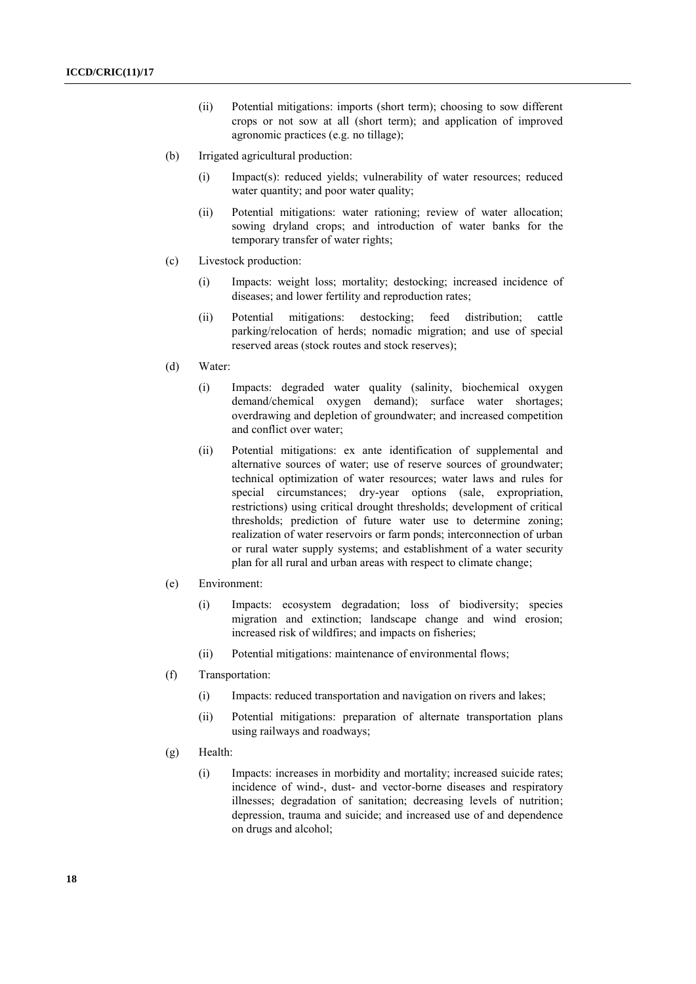- (ii) Potential mitigations: imports (short term); choosing to sow different crops or not sow at all (short term); and application of improved agronomic practices (e.g. no tillage);
- (b) Irrigated agricultural production:
	- (i) Impact(s): reduced yields; vulnerability of water resources; reduced water quantity; and poor water quality;
	- (ii) Potential mitigations: water rationing; review of water allocation; sowing dryland crops; and introduction of water banks for the temporary transfer of water rights;
- (c) Livestock production:
	- (i) Impacts: weight loss; mortality; destocking; increased incidence of diseases; and lower fertility and reproduction rates;
	- (ii) Potential mitigations: destocking; feed distribution; cattle parking/relocation of herds; nomadic migration; and use of special reserved areas (stock routes and stock reserves);
- (d) Water:
	- (i) Impacts: degraded water quality (salinity, biochemical oxygen demand/chemical oxygen demand); surface water shortages; overdrawing and depletion of groundwater; and increased competition and conflict over water;
	- (ii) Potential mitigations: ex ante identification of supplemental and alternative sources of water; use of reserve sources of groundwater; technical optimization of water resources; water laws and rules for special circumstances; dry-year options (sale, expropriation, restrictions) using critical drought thresholds; development of critical thresholds; prediction of future water use to determine zoning; realization of water reservoirs or farm ponds; interconnection of urban or rural water supply systems; and establishment of a water security plan for all rural and urban areas with respect to climate change;
- (e) Environment:
	- (i) Impacts: ecosystem degradation; loss of biodiversity; species migration and extinction; landscape change and wind erosion; increased risk of wildfires; and impacts on fisheries;
	- (ii) Potential mitigations: maintenance of environmental flows;
- (f) Transportation:
	- (i) Impacts: reduced transportation and navigation on rivers and lakes;
	- (ii) Potential mitigations: preparation of alternate transportation plans using railways and roadways;
- (g) Health:
	- (i) Impacts: increases in morbidity and mortality; increased suicide rates; incidence of wind-, dust- and vector-borne diseases and respiratory illnesses; degradation of sanitation; decreasing levels of nutrition; depression, trauma and suicide; and increased use of and dependence on drugs and alcohol;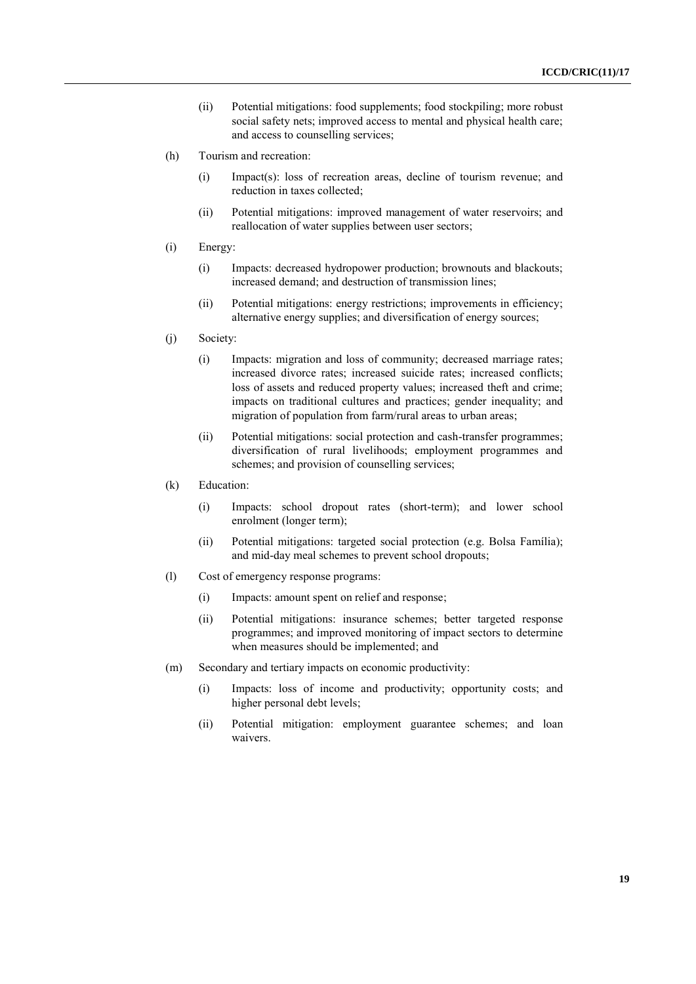- (ii) Potential mitigations: food supplements; food stockpiling; more robust social safety nets; improved access to mental and physical health care; and access to counselling services;
- (h) Tourism and recreation:
	- (i) Impact(s): loss of recreation areas, decline of tourism revenue; and reduction in taxes collected;
	- (ii) Potential mitigations: improved management of water reservoirs; and reallocation of water supplies between user sectors;
- (i) Energy:
	- (i) Impacts: decreased hydropower production; brownouts and blackouts; increased demand; and destruction of transmission lines;
	- (ii) Potential mitigations: energy restrictions; improvements in efficiency; alternative energy supplies; and diversification of energy sources;
- (j) Society:
	- (i) Impacts: migration and loss of community; decreased marriage rates; increased divorce rates; increased suicide rates; increased conflicts; loss of assets and reduced property values; increased theft and crime; impacts on traditional cultures and practices; gender inequality; and migration of population from farm/rural areas to urban areas;
	- (ii) Potential mitigations: social protection and cash-transfer programmes; diversification of rural livelihoods; employment programmes and schemes; and provision of counselling services;
- (k) Education:
	- (i) Impacts: school dropout rates (short-term); and lower school enrolment (longer term);
	- (ii) Potential mitigations: targeted social protection (e.g. Bolsa Família); and mid-day meal schemes to prevent school dropouts;
- (l) Cost of emergency response programs:
	- (i) Impacts: amount spent on relief and response;
	- (ii) Potential mitigations: insurance schemes; better targeted response programmes; and improved monitoring of impact sectors to determine when measures should be implemented; and
- (m) Secondary and tertiary impacts on economic productivity:
	- (i) Impacts: loss of income and productivity; opportunity costs; and higher personal debt levels;
	- (ii) Potential mitigation: employment guarantee schemes; and loan waivers.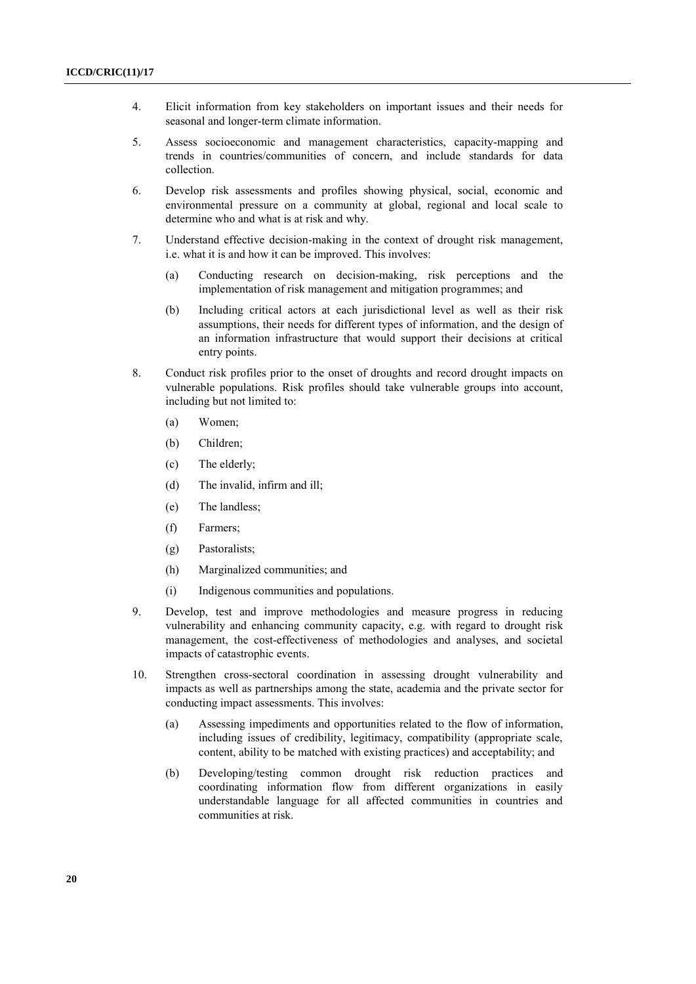- 4. Elicit information from key stakeholders on important issues and their needs for seasonal and longer-term climate information.
- 5. Assess socioeconomic and management characteristics, capacity-mapping and trends in countries/communities of concern, and include standards for data collection.
- 6. Develop risk assessments and profiles showing physical, social, economic and environmental pressure on a community at global, regional and local scale to determine who and what is at risk and why.
- 7. Understand effective decision-making in the context of drought risk management, i.e. what it is and how it can be improved. This involves:
	- (a) Conducting research on decision-making, risk perceptions and the implementation of risk management and mitigation programmes; and
	- (b) Including critical actors at each jurisdictional level as well as their risk assumptions, their needs for different types of information, and the design of an information infrastructure that would support their decisions at critical entry points.
- 8. Conduct risk profiles prior to the onset of droughts and record drought impacts on vulnerable populations. Risk profiles should take vulnerable groups into account, including but not limited to:
	- (a) Women;
	- (b) Children;
	- (c) The elderly;
	- (d) The invalid, infirm and ill;
	- (e) The landless;
	- (f) Farmers;
	- (g) Pastoralists;
	- (h) Marginalized communities; and
	- (i) Indigenous communities and populations.
- 9. Develop, test and improve methodologies and measure progress in reducing vulnerability and enhancing community capacity, e.g. with regard to drought risk management, the cost-effectiveness of methodologies and analyses, and societal impacts of catastrophic events.
- 10. Strengthen cross-sectoral coordination in assessing drought vulnerability and impacts as well as partnerships among the state, academia and the private sector for conducting impact assessments. This involves:
	- (a) Assessing impediments and opportunities related to the flow of information, including issues of credibility, legitimacy, compatibility (appropriate scale, content, ability to be matched with existing practices) and acceptability; and
	- (b) Developing/testing common drought risk reduction practices and coordinating information flow from different organizations in easily understandable language for all affected communities in countries and communities at risk.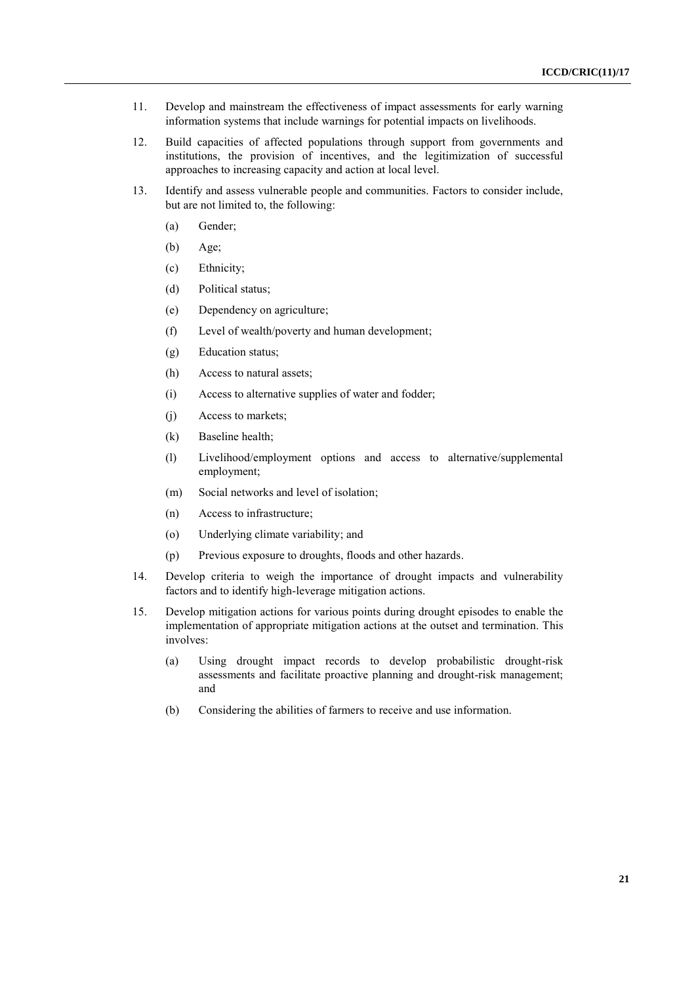- 11. Develop and mainstream the effectiveness of impact assessments for early warning information systems that include warnings for potential impacts on livelihoods.
- 12. Build capacities of affected populations through support from governments and institutions, the provision of incentives, and the legitimization of successful approaches to increasing capacity and action at local level.
- 13. Identify and assess vulnerable people and communities. Factors to consider include, but are not limited to, the following:
	- (a) Gender;
	- (b) Age;
	- (c) Ethnicity;
	- (d) Political status;
	- (e) Dependency on agriculture;
	- (f) Level of wealth/poverty and human development;
	- (g) Education status;
	- (h) Access to natural assets;
	- (i) Access to alternative supplies of water and fodder;
	- (j) Access to markets;
	- (k) Baseline health;
	- (l) Livelihood/employment options and access to alternative/supplemental employment;
	- (m) Social networks and level of isolation;
	- (n) Access to infrastructure;
	- (o) Underlying climate variability; and
	- (p) Previous exposure to droughts, floods and other hazards.
- 14. Develop criteria to weigh the importance of drought impacts and vulnerability factors and to identify high-leverage mitigation actions.
- 15. Develop mitigation actions for various points during drought episodes to enable the implementation of appropriate mitigation actions at the outset and termination. This involves:
	- (a) Using drought impact records to develop probabilistic drought-risk assessments and facilitate proactive planning and drought-risk management; and
	- (b) Considering the abilities of farmers to receive and use information.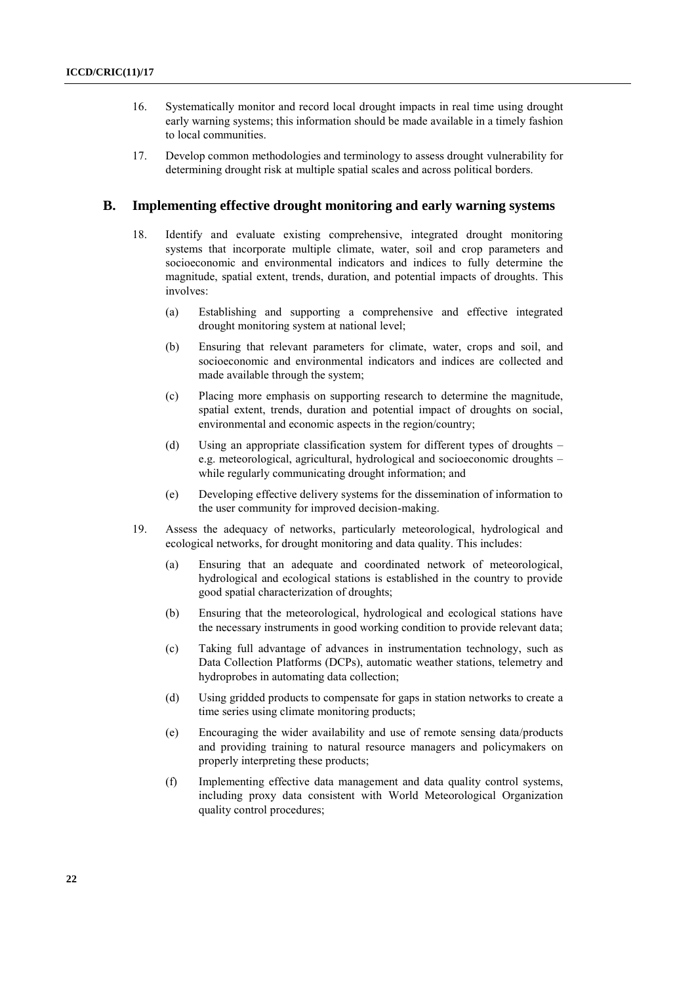- 16. Systematically monitor and record local drought impacts in real time using drought early warning systems; this information should be made available in a timely fashion to local communities.
- 17. Develop common methodologies and terminology to assess drought vulnerability for determining drought risk at multiple spatial scales and across political borders.

### **B. Implementing effective drought monitoring and early warning systems**

- 18. Identify and evaluate existing comprehensive, integrated drought monitoring systems that incorporate multiple climate, water, soil and crop parameters and socioeconomic and environmental indicators and indices to fully determine the magnitude, spatial extent, trends, duration, and potential impacts of droughts. This involves:
	- (a) Establishing and supporting a comprehensive and effective integrated drought monitoring system at national level;
	- (b) Ensuring that relevant parameters for climate, water, crops and soil, and socioeconomic and environmental indicators and indices are collected and made available through the system;
	- (c) Placing more emphasis on supporting research to determine the magnitude, spatial extent, trends, duration and potential impact of droughts on social, environmental and economic aspects in the region/country;
	- (d) Using an appropriate classification system for different types of droughts e.g. meteorological, agricultural, hydrological and socioeconomic droughts – while regularly communicating drought information; and
	- (e) Developing effective delivery systems for the dissemination of information to the user community for improved decision-making.
- 19. Assess the adequacy of networks, particularly meteorological, hydrological and ecological networks, for drought monitoring and data quality. This includes:
	- (a) Ensuring that an adequate and coordinated network of meteorological, hydrological and ecological stations is established in the country to provide good spatial characterization of droughts;
	- (b) Ensuring that the meteorological, hydrological and ecological stations have the necessary instruments in good working condition to provide relevant data;
	- (c) Taking full advantage of advances in instrumentation technology, such as Data Collection Platforms (DCPs), automatic weather stations, telemetry and hydroprobes in automating data collection;
	- (d) Using gridded products to compensate for gaps in station networks to create a time series using climate monitoring products;
	- (e) Encouraging the wider availability and use of remote sensing data/products and providing training to natural resource managers and policymakers on properly interpreting these products;
	- (f) Implementing effective data management and data quality control systems, including proxy data consistent with World Meteorological Organization quality control procedures;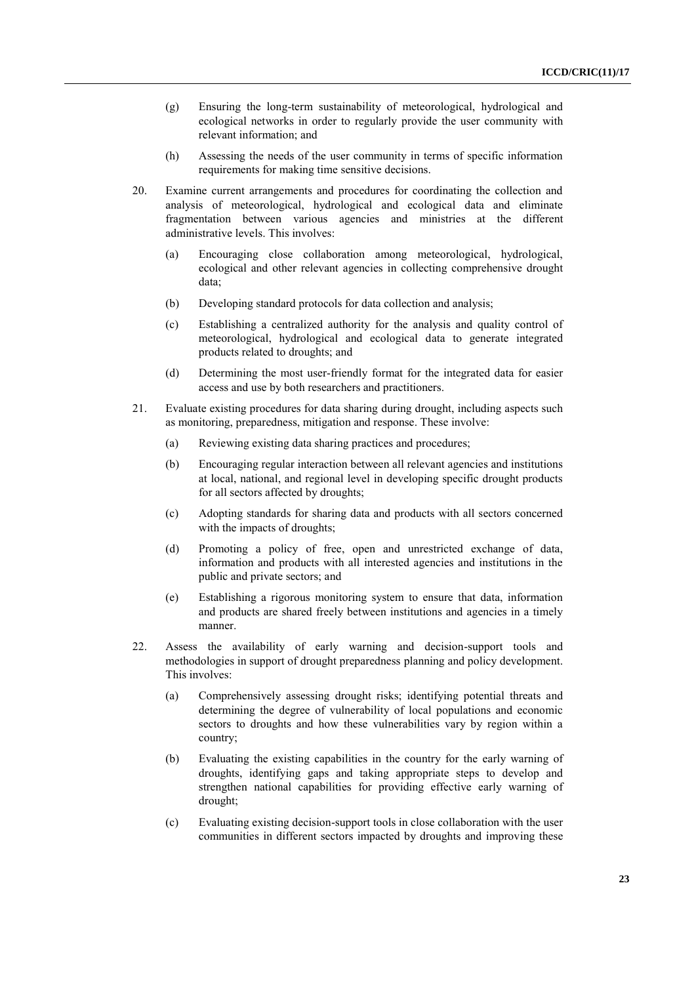- (g) Ensuring the long-term sustainability of meteorological, hydrological and ecological networks in order to regularly provide the user community with relevant information; and
- (h) Assessing the needs of the user community in terms of specific information requirements for making time sensitive decisions.
- 20. Examine current arrangements and procedures for coordinating the collection and analysis of meteorological, hydrological and ecological data and eliminate fragmentation between various agencies and ministries at the different administrative levels. This involves:
	- (a) Encouraging close collaboration among meteorological, hydrological, ecological and other relevant agencies in collecting comprehensive drought data;
	- (b) Developing standard protocols for data collection and analysis;
	- (c) Establishing a centralized authority for the analysis and quality control of meteorological, hydrological and ecological data to generate integrated products related to droughts; and
	- (d) Determining the most user-friendly format for the integrated data for easier access and use by both researchers and practitioners.
- 21. Evaluate existing procedures for data sharing during drought, including aspects such as monitoring, preparedness, mitigation and response. These involve:
	- (a) Reviewing existing data sharing practices and procedures;
	- (b) Encouraging regular interaction between all relevant agencies and institutions at local, national, and regional level in developing specific drought products for all sectors affected by droughts;
	- (c) Adopting standards for sharing data and products with all sectors concerned with the impacts of droughts;
	- (d) Promoting a policy of free, open and unrestricted exchange of data, information and products with all interested agencies and institutions in the public and private sectors; and
	- (e) Establishing a rigorous monitoring system to ensure that data, information and products are shared freely between institutions and agencies in a timely manner.
- 22. Assess the availability of early warning and decision-support tools and methodologies in support of drought preparedness planning and policy development. This involves:
	- (a) Comprehensively assessing drought risks; identifying potential threats and determining the degree of vulnerability of local populations and economic sectors to droughts and how these vulnerabilities vary by region within a country;
	- (b) Evaluating the existing capabilities in the country for the early warning of droughts, identifying gaps and taking appropriate steps to develop and strengthen national capabilities for providing effective early warning of drought;
	- (c) Evaluating existing decision-support tools in close collaboration with the user communities in different sectors impacted by droughts and improving these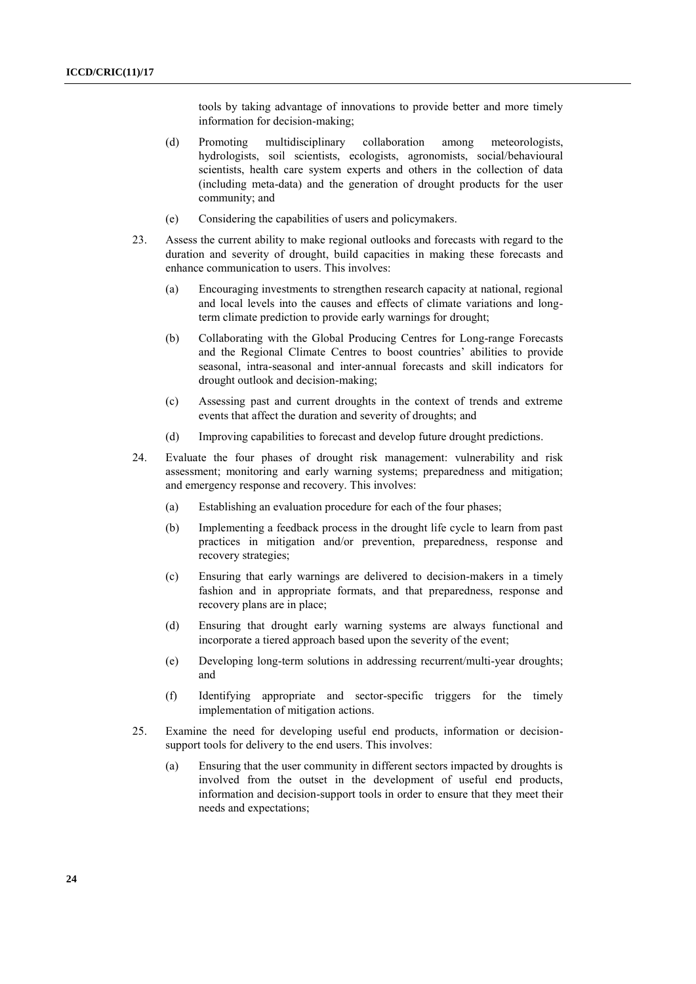tools by taking advantage of innovations to provide better and more timely information for decision-making;

- (d) Promoting multidisciplinary collaboration among meteorologists, hydrologists, soil scientists, ecologists, agronomists, social/behavioural scientists, health care system experts and others in the collection of data (including meta-data) and the generation of drought products for the user community; and
- (e) Considering the capabilities of users and policymakers.
- 23. Assess the current ability to make regional outlooks and forecasts with regard to the duration and severity of drought, build capacities in making these forecasts and enhance communication to users. This involves:
	- (a) Encouraging investments to strengthen research capacity at national, regional and local levels into the causes and effects of climate variations and longterm climate prediction to provide early warnings for drought;
	- (b) Collaborating with the Global Producing Centres for Long-range Forecasts and the Regional Climate Centres to boost countries' abilities to provide seasonal, intra-seasonal and inter-annual forecasts and skill indicators for drought outlook and decision-making;
	- (c) Assessing past and current droughts in the context of trends and extreme events that affect the duration and severity of droughts; and
	- (d) Improving capabilities to forecast and develop future drought predictions.
- 24. Evaluate the four phases of drought risk management: vulnerability and risk assessment; monitoring and early warning systems; preparedness and mitigation; and emergency response and recovery. This involves:
	- (a) Establishing an evaluation procedure for each of the four phases;
	- (b) Implementing a feedback process in the drought life cycle to learn from past practices in mitigation and/or prevention, preparedness, response and recovery strategies;
	- (c) Ensuring that early warnings are delivered to decision-makers in a timely fashion and in appropriate formats, and that preparedness, response and recovery plans are in place;
	- (d) Ensuring that drought early warning systems are always functional and incorporate a tiered approach based upon the severity of the event;
	- (e) Developing long-term solutions in addressing recurrent/multi-year droughts; and
	- (f) Identifying appropriate and sector-specific triggers for the timely implementation of mitigation actions.
- 25. Examine the need for developing useful end products, information or decisionsupport tools for delivery to the end users. This involves:
	- (a) Ensuring that the user community in different sectors impacted by droughts is involved from the outset in the development of useful end products, information and decision-support tools in order to ensure that they meet their needs and expectations;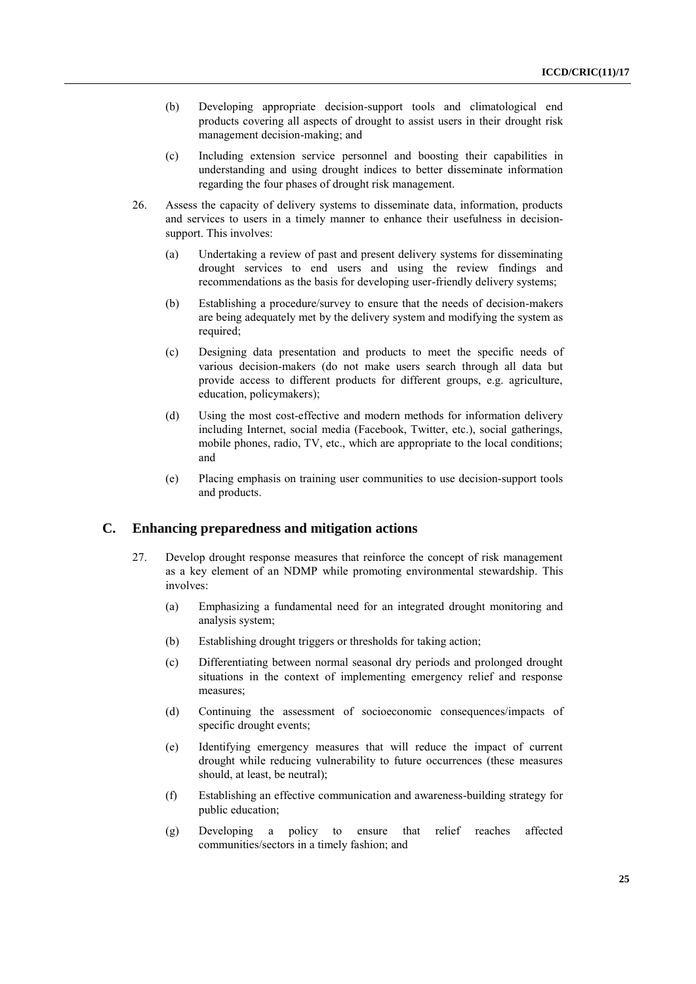- (b) Developing appropriate decision-support tools and climatological end products covering all aspects of drought to assist users in their drought risk management decision-making; and
- (c) Including extension service personnel and boosting their capabilities in understanding and using drought indices to better disseminate information regarding the four phases of drought risk management.
- 26. Assess the capacity of delivery systems to disseminate data, information, products and services to users in a timely manner to enhance their usefulness in decisionsupport. This involves:
	- (a) Undertaking a review of past and present delivery systems for disseminating drought services to end users and using the review findings and recommendations as the basis for developing user-friendly delivery systems;
	- (b) Establishing a procedure/survey to ensure that the needs of decision-makers are being adequately met by the delivery system and modifying the system as required:
	- (c) Designing data presentation and products to meet the specific needs of various decision-makers (do not make users search through all data but provide access to different products for different groups, e.g. agriculture, education, policymakers);
	- (d) Using the most cost-effective and modern methods for information delivery including Internet, social media (Facebook, Twitter, etc.), social gatherings, mobile phones, radio, TV, etc., which are appropriate to the local conditions; and
	- (e) Placing emphasis on training user communities to use decision-support tools and products.

### **C. Enhancing preparedness and mitigation actions**

- 27. Develop drought response measures that reinforce the concept of risk management as a key element of an NDMP while promoting environmental stewardship. This involves:
	- (a) Emphasizing a fundamental need for an integrated drought monitoring and analysis system;
	- (b) Establishing drought triggers or thresholds for taking action;
	- (c) Differentiating between normal seasonal dry periods and prolonged drought situations in the context of implementing emergency relief and response measures;
	- (d) Continuing the assessment of socioeconomic consequences/impacts of specific drought events;
	- (e) Identifying emergency measures that will reduce the impact of current drought while reducing vulnerability to future occurrences (these measures should, at least, be neutral);
	- (f) Establishing an effective communication and awareness-building strategy for public education;
	- (g) Developing a policy to ensure that relief reaches affected communities/sectors in a timely fashion; and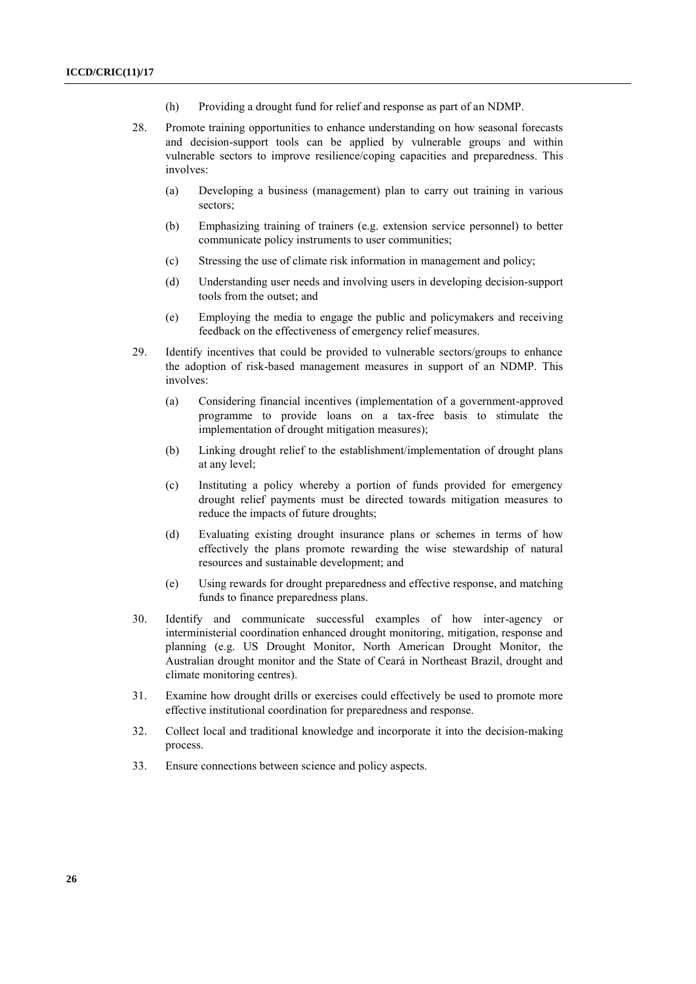- (h) Providing a drought fund for relief and response as part of an NDMP.
- 28. Promote training opportunities to enhance understanding on how seasonal forecasts and decision-support tools can be applied by vulnerable groups and within vulnerable sectors to improve resilience/coping capacities and preparedness. This involves:
	- (a) Developing a business (management) plan to carry out training in various sectors;
	- (b) Emphasizing training of trainers (e.g. extension service personnel) to better communicate policy instruments to user communities;
	- (c) Stressing the use of climate risk information in management and policy;
	- (d) Understanding user needs and involving users in developing decision-support tools from the outset; and
	- (e) Employing the media to engage the public and policymakers and receiving feedback on the effectiveness of emergency relief measures.
- 29. Identify incentives that could be provided to vulnerable sectors/groups to enhance the adoption of risk-based management measures in support of an NDMP. This involves:
	- (a) Considering financial incentives (implementation of a government-approved programme to provide loans on a tax-free basis to stimulate the implementation of drought mitigation measures);
	- (b) Linking drought relief to the establishment/implementation of drought plans at any level;
	- (c) Instituting a policy whereby a portion of funds provided for emergency drought relief payments must be directed towards mitigation measures to reduce the impacts of future droughts;
	- (d) Evaluating existing drought insurance plans or schemes in terms of how effectively the plans promote rewarding the wise stewardship of natural resources and sustainable development; and
	- (e) Using rewards for drought preparedness and effective response, and matching funds to finance preparedness plans.
- 30. Identify and communicate successful examples of how inter-agency or interministerial coordination enhanced drought monitoring, mitigation, response and planning (e.g. US Drought Monitor, North American Drought Monitor, the Australian drought monitor and the State of Ceará in Northeast Brazil, drought and climate monitoring centres).
- 31. Examine how drought drills or exercises could effectively be used to promote more effective institutional coordination for preparedness and response.
- 32. Collect local and traditional knowledge and incorporate it into the decision-making process.
- 33. Ensure connections between science and policy aspects.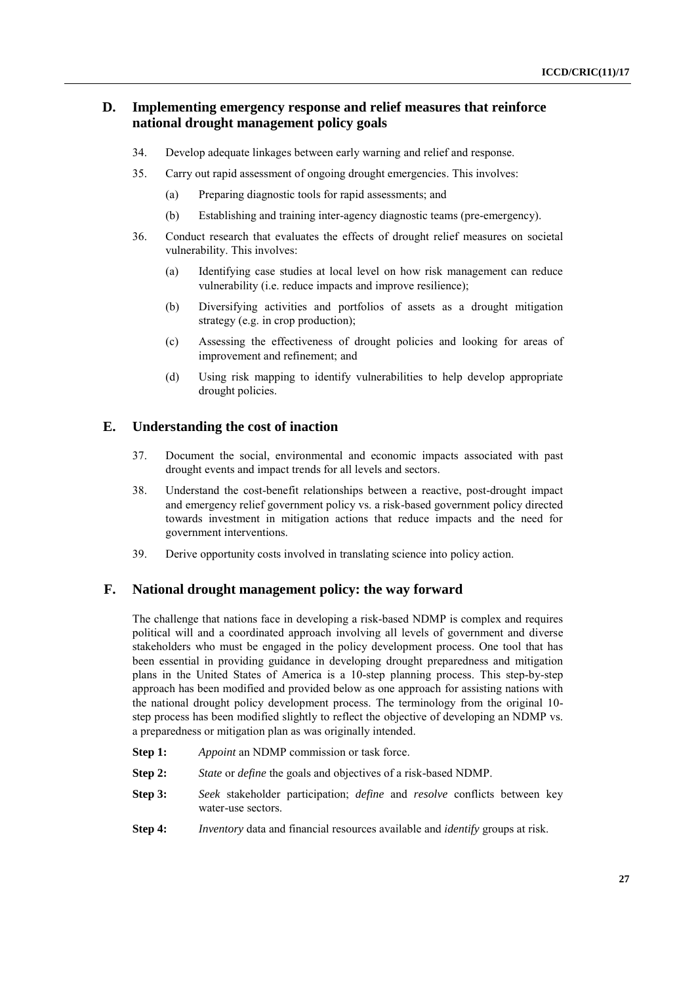### **D. Implementing emergency response and relief measures that reinforce national drought management policy goals**

- 34. Develop adequate linkages between early warning and relief and response.
- 35. Carry out rapid assessment of ongoing drought emergencies. This involves:
	- (a) Preparing diagnostic tools for rapid assessments; and
	- (b) Establishing and training inter-agency diagnostic teams (pre-emergency).
- 36. Conduct research that evaluates the effects of drought relief measures on societal vulnerability. This involves:
	- (a) Identifying case studies at local level on how risk management can reduce vulnerability (i.e. reduce impacts and improve resilience);
	- (b) Diversifying activities and portfolios of assets as a drought mitigation strategy (e.g. in crop production);
	- (c) Assessing the effectiveness of drought policies and looking for areas of improvement and refinement; and
	- (d) Using risk mapping to identify vulnerabilities to help develop appropriate drought policies.

#### **E. Understanding the cost of inaction**

- 37. Document the social, environmental and economic impacts associated with past drought events and impact trends for all levels and sectors.
- 38. Understand the cost-benefit relationships between a reactive, post-drought impact and emergency relief government policy vs. a risk-based government policy directed towards investment in mitigation actions that reduce impacts and the need for government interventions.
- 39. Derive opportunity costs involved in translating science into policy action.

### **F. National drought management policy: the way forward**

The challenge that nations face in developing a risk-based NDMP is complex and requires political will and a coordinated approach involving all levels of government and diverse stakeholders who must be engaged in the policy development process. One tool that has been essential in providing guidance in developing drought preparedness and mitigation plans in the United States of America is a 10-step planning process. This step-by-step approach has been modified and provided below as one approach for assisting nations with the national drought policy development process. The terminology from the original 10 step process has been modified slightly to reflect the objective of developing an NDMP vs. a preparedness or mitigation plan as was originally intended.

- **Step 1:** *Appoint* an NDMP commission or task force.
- **Step 2:** *State* or *define* the goals and objectives of a risk-based NDMP.
- **Step 3:** *Seek* stakeholder participation; *define* and *resolve* conflicts between key water-use sectors.
- **Step 4:** *Inventory* data and financial resources available and *identify* groups at risk.